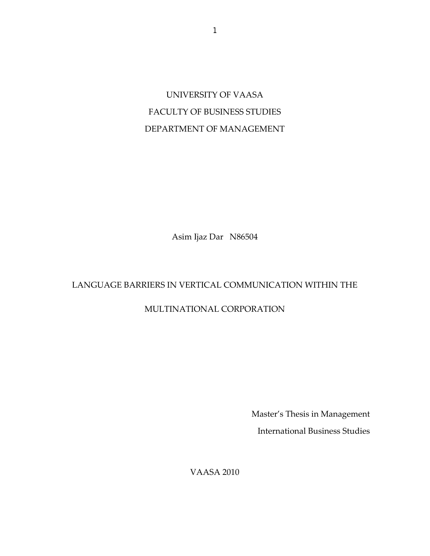UNIVERSITY OF VAASA FACULTY OF BUSINESS STUDIES DEPARTMENT OF MANAGEMENT

Asim Ijaz Dar N86504

# LANGUAGE BARRIERS IN VERTICAL COMMUNICATION WITHIN THE

# MULTINATIONAL CORPORATION

Master's Thesis in Management

International Business Studies

VAASA 2010

1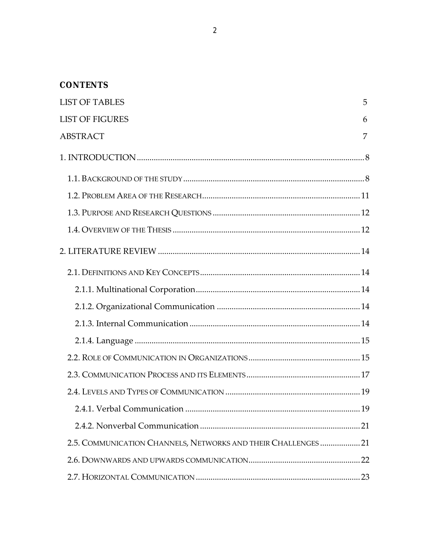# **CONTENTS**

| <b>LIST OF TABLES</b>                                         | 5   |
|---------------------------------------------------------------|-----|
| <b>LIST OF FIGURES</b>                                        | 6   |
| <b>ABSTRACT</b>                                               | 7   |
|                                                               |     |
|                                                               |     |
|                                                               |     |
|                                                               |     |
|                                                               |     |
|                                                               |     |
|                                                               |     |
|                                                               |     |
|                                                               |     |
|                                                               |     |
|                                                               |     |
|                                                               |     |
|                                                               |     |
|                                                               |     |
|                                                               | .19 |
|                                                               |     |
| 2.5. COMMUNICATION CHANNELS, NETWORKS AND THEIR CHALLENGES 21 |     |
|                                                               |     |
|                                                               |     |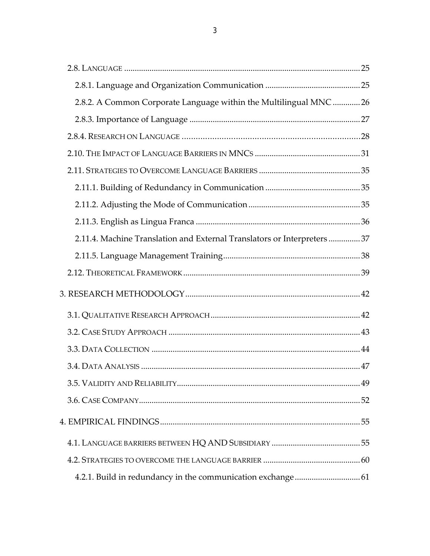| 2.8.2. A Common Corporate Language within the Multilingual MNC  26       |  |
|--------------------------------------------------------------------------|--|
|                                                                          |  |
|                                                                          |  |
|                                                                          |  |
|                                                                          |  |
|                                                                          |  |
|                                                                          |  |
|                                                                          |  |
| 2.11.4. Machine Translation and External Translators or Interpreters  37 |  |
|                                                                          |  |
|                                                                          |  |
|                                                                          |  |
|                                                                          |  |
|                                                                          |  |
|                                                                          |  |
|                                                                          |  |
|                                                                          |  |
|                                                                          |  |
|                                                                          |  |
|                                                                          |  |
|                                                                          |  |
| 4.2.1. Build in redundancy in the communication exchange 61              |  |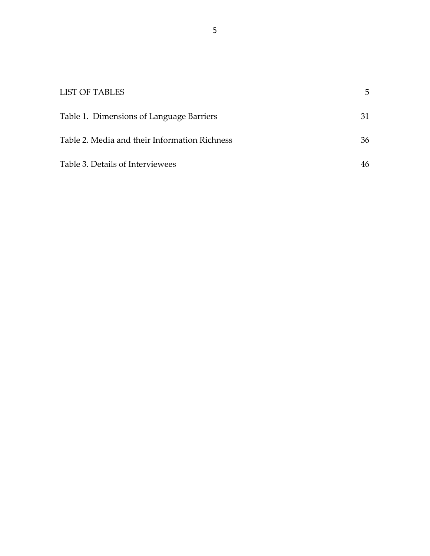| <b>LIST OF TABLES</b>                         | 5. |
|-----------------------------------------------|----|
| Table 1. Dimensions of Language Barriers      | 31 |
| Table 2. Media and their Information Richness | 36 |
| Table 3. Details of Interviewees              |    |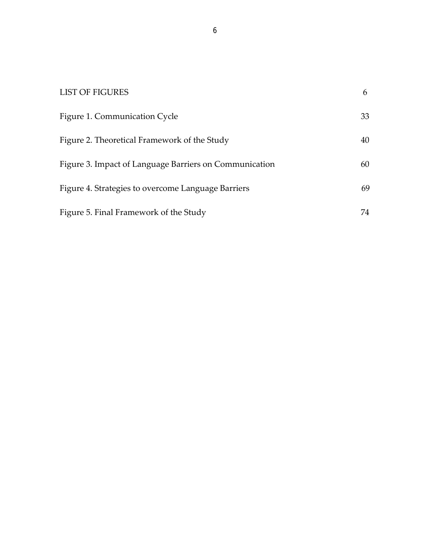| <b>LIST OF FIGURES</b>                                 | 6  |
|--------------------------------------------------------|----|
| Figure 1. Communication Cycle                          | 33 |
| Figure 2. Theoretical Framework of the Study           | 40 |
| Figure 3. Impact of Language Barriers on Communication | 60 |
| Figure 4. Strategies to overcome Language Barriers     | 69 |
| Figure 5. Final Framework of the Study                 | 74 |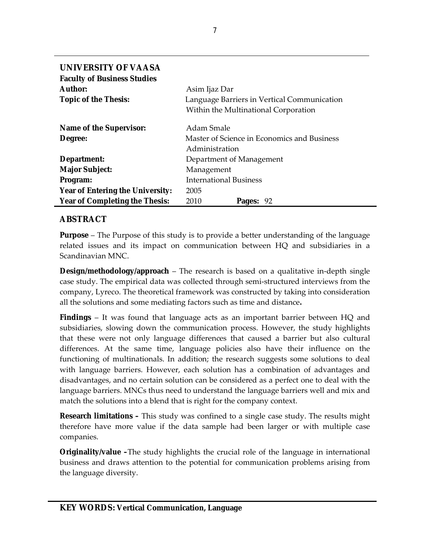| UNIVERSITY OF VAASA                |                                             |
|------------------------------------|---------------------------------------------|
| <b>Faculty of Business Studies</b> |                                             |
| Author:                            | Asim Ijaz Dar                               |
| Topic of the Thesis:               | Language Barriers in Vertical Communication |
|                                    | Within the Multinational Corporation        |
| Name of the Supervisor:            | Adam Smale                                  |
| Degree:                            | Master of Science in Economics and Business |
|                                    | Administration                              |
| Department:                        | Department of Management                    |
| Major Subject:                     | Management                                  |
| Program:                           | <b>International Business</b>               |
| Year of Entering the University:   | 2005                                        |
| Year of Completing the Thesis:     | 2010<br>Pages: 92                           |

# **ABSTRACT**

**Purpose** – The Purpose of this study is to provide a better understanding of the language related issues and its impact on communication between HQ and subsidiaries in a Scandinavian MNC.

**Design/methodology/approach** – The research is based on a qualitative in-depth single case study. The empirical data was collected through semi-structured interviews from the company, Lyreco. The theoretical framework was constructed by taking into consideration all the solutions and some mediating factors such as time and distance**.** 

**Findings** – It was found that language acts as an important barrier between HQ and subsidiaries, slowing down the communication process. However, the study highlights that these were not only language differences that caused a barrier but also cultural differences. At the same time, language policies also have their influence on the functioning of multinationals. In addition; the research suggests some solutions to deal with language barriers. However, each solution has a combination of advantages and disadvantages, and no certain solution can be considered as a perfect one to deal with the language barriers. MNCs thus need to understand the language barriers well and mix and match the solutions into a blend that is right for the company context.

**Research limitations –** This study was confined to a single case study. The results might therefore have more value if the data sample had been larger or with multiple case companies.

**Originality/value –**The study highlights the crucial role of the language in international business and draws attention to the potential for communication problems arising from the language diversity.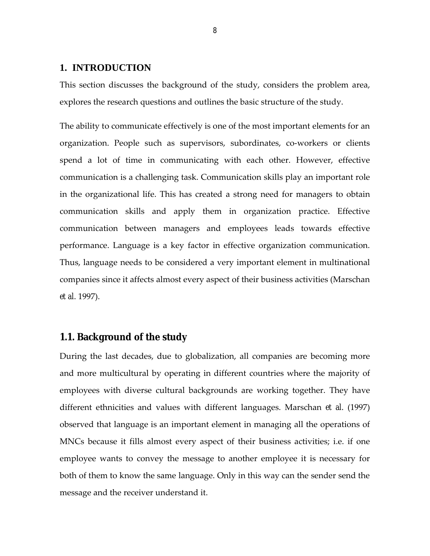## **1. INTRODUCTION**

This section discusses the background of the study, considers the problem area, explores the research questions and outlines the basic structure of the study.

The ability to communicate effectively is one of the most important elements for an organization. People such as supervisors, subordinates, co-workers or clients spend a lot of time in communicating with each other. However, effective communication is a challenging task. Communication skills play an important role in the organizational life. This has created a strong need for managers to obtain communication skills and apply them in organization practice. Effective communication between managers and employees leads towards effective performance. Language is a key factor in effective organization communication. Thus, language needs to be considered a very important element in multinational companies since it affects almost every aspect of their business activities (Marschan *et al*. 1997).

# **1.1. Background of the study**

During the last decades, due to globalization, all companies are becoming more and more multicultural by operating in different countries where the majority of employees with diverse cultural backgrounds are working together. They have different ethnicities and values with different languages. Marschan *et al.* (1997) observed that language is an important element in managing all the operations of MNCs because it fills almost every aspect of their business activities; i.e. if one employee wants to convey the message to another employee it is necessary for both of them to know the same language. Only in this way can the sender send the message and the receiver understand it.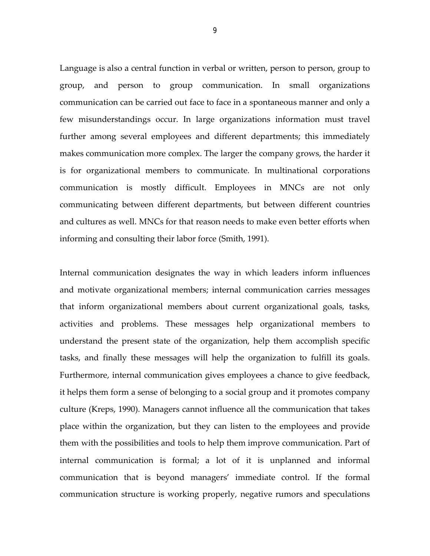Language is also a central function in verbal or written, person to person, group to group, and person to group communication. In small organizations communication can be carried out face to face in a spontaneous manner and only a few misunderstandings occur. In large organizations information must travel further among several employees and different departments; this immediately makes communication more complex. The larger the company grows, the harder it is for organizational members to communicate. In multinational corporations communication is mostly difficult. Employees in MNCs are not only communicating between different departments, but between different countries and cultures as well. MNCs for that reason needs to make even better efforts when informing and consulting their labor force (Smith, 1991).

Internal communication designates the way in which leaders inform influences and motivate organizational members; internal communication carries messages that inform organizational members about current organizational goals, tasks, activities and problems. These messages help organizational members to understand the present state of the organization, help them accomplish specific tasks, and finally these messages will help the organization to fulfill its goals. Furthermore, internal communication gives employees a chance to give feedback, it helps them form a sense of belonging to a social group and it promotes company culture (Kreps, 1990). Managers cannot influence all the communication that takes place within the organization, but they can listen to the employees and provide them with the possibilities and tools to help them improve communication. Part of internal communication is formal; a lot of it is unplanned and informal communication that is beyond managers' immediate control. If the formal communication structure is working properly, negative rumors and speculations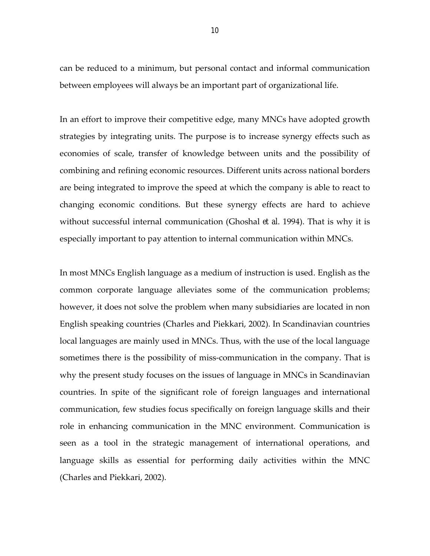can be reduced to a minimum, but personal contact and informal communication between employees will always be an important part of organizational life.

In an effort to improve their competitive edge, many MNCs have adopted growth strategies by integrating units. The purpose is to increase synergy effects such as economies of scale, transfer of knowledge between units and the possibility of combining and refining economic resources. Different units across national borders are being integrated to improve the speed at which the company is able to react to changing economic conditions. But these synergy effects are hard to achieve without successful internal communication (Ghoshal *et al*. 1994). That is why it is especially important to pay attention to internal communication within MNCs.

In most MNCs English language as a medium of instruction is used. English as the common corporate language alleviates some of the communication problems; however, it does not solve the problem when many subsidiaries are located in non English speaking countries (Charles and Piekkari, 2002). In Scandinavian countries local languages are mainly used in MNCs. Thus, with the use of the local language sometimes there is the possibility of miss-communication in the company. That is why the present study focuses on the issues of language in MNCs in Scandinavian countries. In spite of the significant role of foreign languages and international communication, few studies focus specifically on foreign language skills and their role in enhancing communication in the MNC environment. Communication is seen as a tool in the strategic management of international operations, and language skills as essential for performing daily activities within the MNC (Charles and Piekkari, 2002).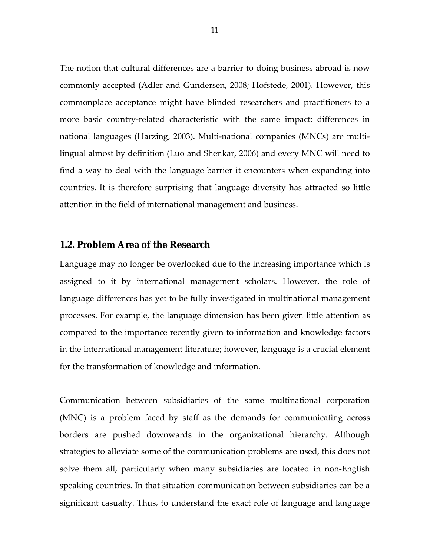The notion that cultural differences are a barrier to doing business abroad is now commonly accepted (Adler and Gundersen, 2008; Hofstede, 2001). However, this commonplace acceptance might have blinded researchers and practitioners to a more basic country-related characteristic with the same impact: differences in national languages (Harzing, 2003). Multi-national companies (MNCs) are multilingual almost by definition (Luo and Shenkar, 2006) and every MNC will need to find a way to deal with the language barrier it encounters when expanding into countries. It is therefore surprising that language diversity has attracted so little attention in the field of international management and business.

# **1.2. Problem Area of the Research**

Language may no longer be overlooked due to the increasing importance which is assigned to it by international management scholars. However, the role of language differences has yet to be fully investigated in multinational management processes. For example, the language dimension has been given little attention as compared to the importance recently given to information and knowledge factors in the international management literature; however, language is a crucial element for the transformation of knowledge and information.

Communication between subsidiaries of the same multinational corporation (MNC) is a problem faced by staff as the demands for communicating across borders are pushed downwards in the organizational hierarchy. Although strategies to alleviate some of the communication problems are used, this does not solve them all, particularly when many subsidiaries are located in non-English speaking countries. In that situation communication between subsidiaries can be a significant casualty. Thus, to understand the exact role of language and language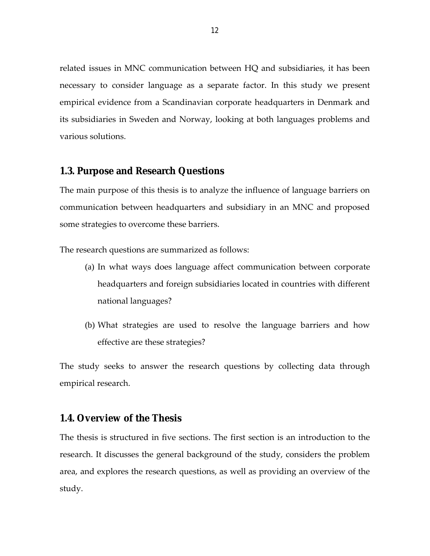related issues in MNC communication between HQ and subsidiaries, it has been necessary to consider language as a separate factor. In this study we present empirical evidence from a Scandinavian corporate headquarters in Denmark and its subsidiaries in Sweden and Norway, looking at both languages problems and various solutions.

# **1.3. Purpose and Research Questions**

The main purpose of this thesis is to analyze the influence of language barriers on communication between headquarters and subsidiary in an MNC and proposed some strategies to overcome these barriers.

The research questions are summarized as follows:

- (a) In what ways does language affect communication between corporate headquarters and foreign subsidiaries located in countries with different national languages?
- (b) What strategies are used to resolve the language barriers and how effective are these strategies?

The study seeks to answer the research questions by collecting data through empirical research.

# **1.4. Overview of the Thesis**

The thesis is structured in five sections. The first section is an introduction to the research. It discusses the general background of the study, considers the problem area, and explores the research questions, as well as providing an overview of the study.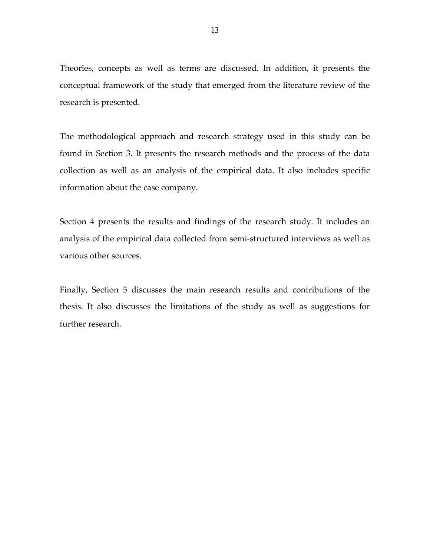Theories, concepts as well as terms are discussed. In addition, it presents the conceptual framework of the study that emerged from the literature review of the research is presented.

The methodological approach and research strategy used in this study can be found in Section 3. It presents the research methods and the process of the data collection as well as an analysis of the empirical data. It also includes specific information about the case company.

Section 4 presents the results and findings of the research study. It includes an analysis of the empirical data collected from semi-structured interviews as well as various other sources.

Finally, Section 5 discusses the main research results and contributions of the thesis. It also discusses the limitations of the study as well as suggestions for further research.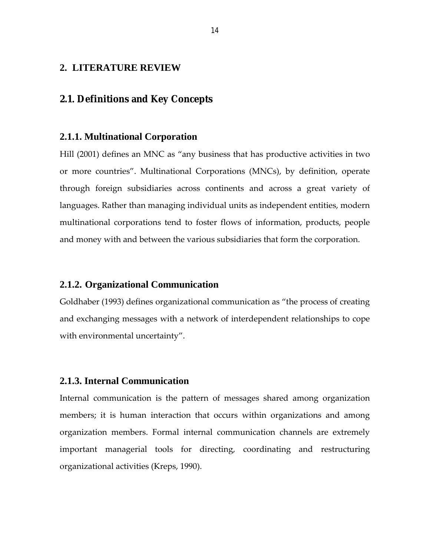# **2. LITERATURE REVIEW**

# **2.1. Definitions and Key Concepts**

#### **2.1.1. Multinational Corporation**

Hill (2001) defines an MNC as "any business that has productive activities in two or more countries". Multinational Corporations (MNCs), by definition, operate through foreign subsidiaries across continents and across a great variety of languages. Rather than managing individual units as independent entities, modern multinational corporations tend to foster flows of information, products, people and money with and between the various subsidiaries that form the corporation.

### **2.1.2. Organizational Communication**

Goldhaber (1993) defines organizational communication as "the process of creating and exchanging messages with a network of interdependent relationships to cope with environmental uncertainty".

## **2.1.3. Internal Communication**

Internal communication is the pattern of messages shared among organization members; it is human interaction that occurs within organizations and among organization members. Formal internal communication channels are extremely important managerial tools for directing, coordinating and restructuring organizational activities (Kreps, 1990).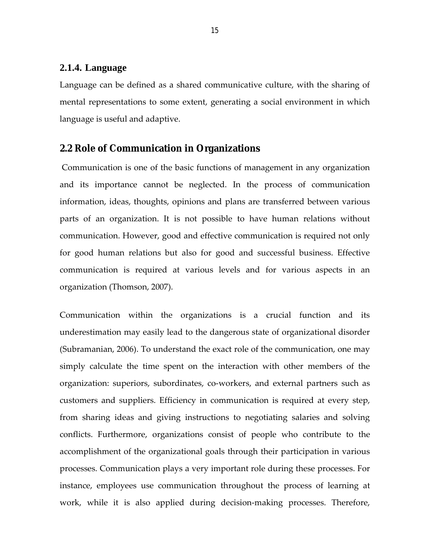#### **2.1.4. Language**

Language can be defined as a shared communicative culture, with the sharing of mental representations to some extent, generating a social environment in which language is useful and adaptive.

# **2.2 Role of Communication in Organizations**

Communication is one of the basic functions of management in any organization and its importance cannot be neglected. In the process of communication information, ideas, thoughts, opinions and plans are transferred between various parts of an organization. It is not possible to have human relations without communication. However, good and effective communication is required not only for good human relations but also for good and successful business. Effective communication is required at various levels and for various aspects in an organization (Thomson, 2007).

Communication within the organizations is a crucial function and its underestimation may easily lead to the dangerous state of organizational disorder (Subramanian, 2006). To understand the exact role of the communication, one may simply calculate the time spent on the interaction with other members of the organization: superiors, subordinates, co-workers, and external partners such as customers and suppliers. Efficiency in communication is required at every step, from sharing ideas and giving instructions to negotiating salaries and solving conflicts. Furthermore, organizations consist of people who contribute to the accomplishment of the organizational goals through their participation in various processes. Communication plays a very important role during these processes. For instance, employees use communication throughout the process of learning at work, while it is also applied during decision-making processes. Therefore,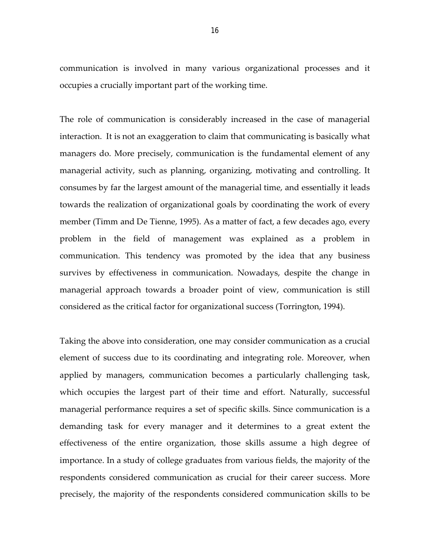communication is involved in many various organizational processes and it occupies a crucially important part of the working time.

The role of communication is considerably increased in the case of managerial interaction. It is not an exaggeration to claim that communicating is basically what managers do. More precisely, communication is the fundamental element of any managerial activity, such as planning, organizing, motivating and controlling. It consumes by far the largest amount of the managerial time, and essentially it leads towards the realization of organizational goals by coordinating the work of every member (Timm and De Tienne, 1995). As a matter of fact, a few decades ago, every problem in the field of management was explained as a problem in communication. This tendency was promoted by the idea that any business survives by effectiveness in communication. Nowadays, despite the change in managerial approach towards a broader point of view, communication is still considered as the critical factor for organizational success (Torrington, 1994).

Taking the above into consideration, one may consider communication as a crucial element of success due to its coordinating and integrating role. Moreover, when applied by managers, communication becomes a particularly challenging task, which occupies the largest part of their time and effort. Naturally, successful managerial performance requires a set of specific skills. Since communication is a demanding task for every manager and it determines to a great extent the effectiveness of the entire organization, those skills assume a high degree of importance. In a study of college graduates from various fields, the majority of the respondents considered communication as crucial for their career success. More precisely, the majority of the respondents considered communication skills to be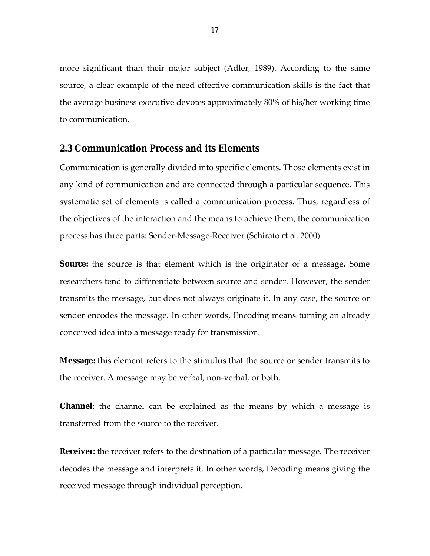more significant than their major subject (Adler, 1989). According to the same source, a clear example of the need effective communication skills is the fact that the average business executive devotes approximately 80% of his/her working time to communication.

# **2.3 Communication Process and its Elements**

Communication is generally divided into specific elements. Those elements exist in any kind of communication and are connected through a particular sequence. This systematic set of elements is called a communication process. Thus, regardless of the objectives of the interaction and the means to achieve them, the communication process has three parts: Sender-Message-Receiver (Schirato *et al*. 2000).

**Source:** the source is that element which is the originator of a message**.** Some researchers tend to differentiate between source and sender. However, the sender transmits the message, but does not always originate it. In any case, the source or sender encodes the message. In other words, Encoding means turning an already conceived idea into a message ready for transmission.

**Message:** this element refers to the stimulus that the source or sender transmits to the receiver. A message may be verbal, non-verbal, or both.

**Channel**: the channel can be explained as the means by which a message is transferred from the source to the receiver.

**Receiver:** the receiver refers to the destination of a particular message. The receiver decodes the message and interprets it. In other words, Decoding means giving the received message through individual perception.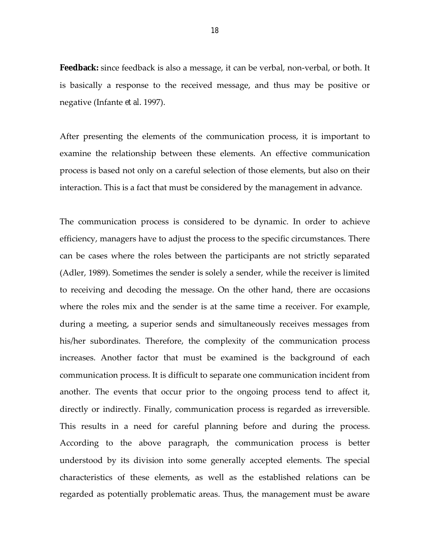**Feedback:** since feedback is also a message, it can be verbal, non-verbal, or both. It is basically a response to the received message, and thus may be positive or negative (Infante *et al.* 1997).

After presenting the elements of the communication process, it is important to examine the relationship between these elements. An effective communication process is based not only on a careful selection of those elements, but also on their interaction. This is a fact that must be considered by the management in advance.

The communication process is considered to be dynamic. In order to achieve efficiency, managers have to adjust the process to the specific circumstances. There can be cases where the roles between the participants are not strictly separated (Adler, 1989). Sometimes the sender is solely a sender, while the receiver is limited to receiving and decoding the message. On the other hand, there are occasions where the roles mix and the sender is at the same time a receiver. For example, during a meeting, a superior sends and simultaneously receives messages from his/her subordinates. Therefore, the complexity of the communication process increases. Another factor that must be examined is the background of each communication process. It is difficult to separate one communication incident from another. The events that occur prior to the ongoing process tend to affect it, directly or indirectly. Finally, communication process is regarded as irreversible. This results in a need for careful planning before and during the process. According to the above paragraph, the communication process is better understood by its division into some generally accepted elements. The special characteristics of these elements, as well as the established relations can be regarded as potentially problematic areas. Thus, the management must be aware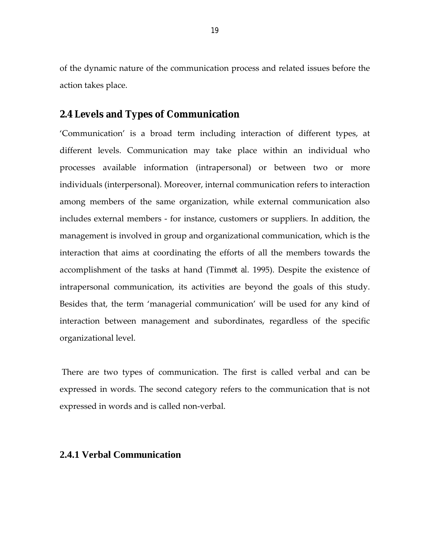of the dynamic nature of the communication process and related issues before the action takes place.

# **2.4 Levels and Types of Communication**

'Communication' is a broad term including interaction of different types, at different levels. Communication may take place within an individual who processes available information (intrapersonal) or between two or more individuals (interpersonal). Moreover, internal communication refers to interaction among members of the same organization, while external communication also includes external members - for instance, customers or suppliers. In addition, the management is involved in group and organizational communication, which is the interaction that aims at coordinating the efforts of all the members towards the accomplishment of the tasks at hand (Timm*et al.* 1995). Despite the existence of intrapersonal communication, its activities are beyond the goals of this study. Besides that, the term 'managerial communication' will be used for any kind of interaction between management and subordinates, regardless of the specific organizational level.

There are two types of communication. The first is called verbal and can be expressed in words. The second category refers to the communication that is not expressed in words and is called non-verbal.

## **2.4.1 Verbal Communication**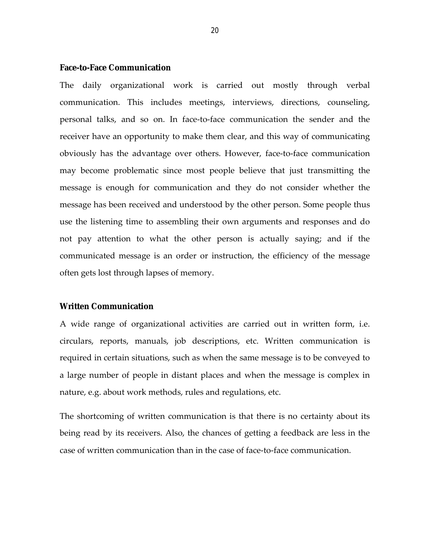#### **Face-to-Face Communication**

The daily organizational work is carried out mostly through verbal communication. This includes meetings, interviews, directions, counseling, personal talks, and so on. In face-to-face communication the sender and the receiver have an opportunity to make them clear, and this way of communicating obviously has the advantage over others. However, face-to-face communication may become problematic since most people believe that just transmitting the message is enough for communication and they do not consider whether the message has been received and understood by the other person. Some people thus use the listening time to assembling their own arguments and responses and do not pay attention to what the other person is actually saying; and if the communicated message is an order or instruction, the efficiency of the message often gets lost through lapses of memory.

#### **Written Communication**

A wide range of organizational activities are carried out in written form, i.e. circulars, reports, manuals, job descriptions, etc. Written communication is required in certain situations, such as when the same message is to be conveyed to a large number of people in distant places and when the message is complex in nature, e.g. about work methods, rules and regulations, etc.

The shortcoming of written communication is that there is no certainty about its being read by its receivers. Also, the chances of getting a feedback are less in the case of written communication than in the case of face-to-face communication.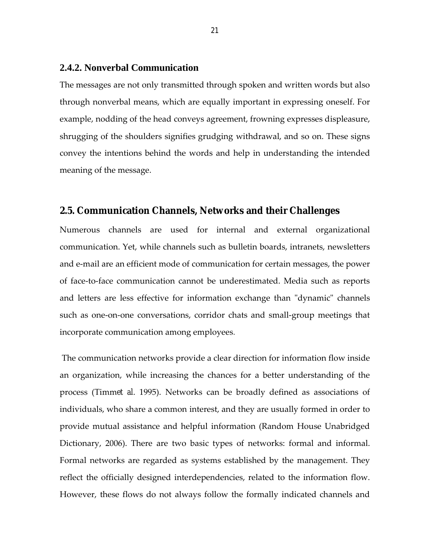### **2.4.2. Nonverbal Communication**

The messages are not only transmitted through spoken and written words but also through nonverbal means, which are equally important in expressing oneself. For example, nodding of the head conveys agreement, frowning expresses displeasure, shrugging of the shoulders signifies grudging withdrawal, and so on. These signs convey the intentions behind the words and help in understanding the intended meaning of the message.

## **2.5. Communication Channels, Networks and their Challenges**

Numerous channels are used for internal and external organizational communication. Yet, while channels such as bulletin boards, intranets, newsletters and e-mail are an efficient mode of communication for certain messages, the power of face-to-face communication cannot be underestimated. Media such as reports and letters are less effective for information exchange than "dynamic" channels such as one-on-one conversations, corridor chats and small-group meetings that incorporate communication among employees.

The communication networks provide a clear direction for information flow inside an organization, while increasing the chances for a better understanding of the process (Timm*et al*. 1995). Networks can be broadly defined as associations of individuals, who share a common interest, and they are usually formed in order to provide mutual assistance and helpful information (Random House Unabridged Dictionary, 2006). There are two basic types of networks: formal and informal. Formal networks are regarded as systems established by the management. They reflect the officially designed interdependencies, related to the information flow. However, these flows do not always follow the formally indicated channels and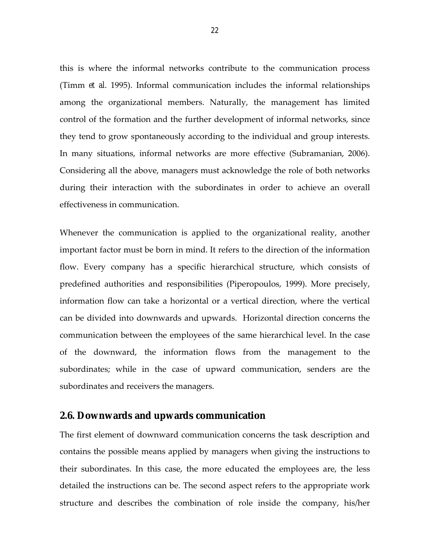this is where the informal networks contribute to the communication process (Timm *et al*. 1995). Informal communication includes the informal relationships among the organizational members. Naturally, the management has limited control of the formation and the further development of informal networks, since they tend to grow spontaneously according to the individual and group interests. In many situations, informal networks are more effective (Subramanian, 2006). Considering all the above, managers must acknowledge the role of both networks during their interaction with the subordinates in order to achieve an overall effectiveness in communication.

Whenever the communication is applied to the organizational reality, another important factor must be born in mind. It refers to the direction of the information flow. Every company has a specific hierarchical structure, which consists of predefined authorities and responsibilities (Piperopoulos, 1999). More precisely, information flow can take a horizontal or a vertical direction, where the vertical can be divided into downwards and upwards. Horizontal direction concerns the communication between the employees of the same hierarchical level. In the case of the downward, the information flows from the management to the subordinates; while in the case of upward communication, senders are the subordinates and receivers the managers.

### **2.6. Downwards and upwards communication**

The first element of downward communication concerns the task description and contains the possible means applied by managers when giving the instructions to their subordinates. In this case, the more educated the employees are, the less detailed the instructions can be. The second aspect refers to the appropriate work structure and describes the combination of role inside the company, his/her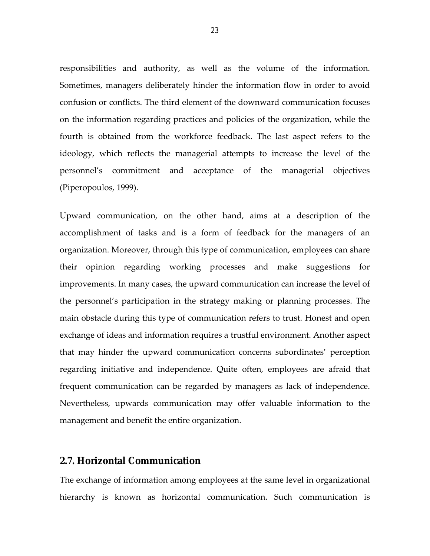responsibilities and authority, as well as the volume of the information. Sometimes, managers deliberately hinder the information flow in order to avoid confusion or conflicts. The third element of the downward communication focuses on the information regarding practices and policies of the organization, while the fourth is obtained from the workforce feedback. The last aspect refers to the ideology, which reflects the managerial attempts to increase the level of the personnel's commitment and acceptance of the managerial objectives (Piperopoulos, 1999).

Upward communication, on the other hand, aims at a description of the accomplishment of tasks and is a form of feedback for the managers of an organization. Moreover, through this type of communication, employees can share their opinion regarding working processes and make suggestions for improvements. In many cases, the upward communication can increase the level of the personnel's participation in the strategy making or planning processes. The main obstacle during this type of communication refers to trust. Honest and open exchange of ideas and information requires a trustful environment. Another aspect that may hinder the upward communication concerns subordinates' perception regarding initiative and independence. Quite often, employees are afraid that frequent communication can be regarded by managers as lack of independence. Nevertheless, upwards communication may offer valuable information to the management and benefit the entire organization.

# **2.7. Horizontal Communication**

The exchange of information among employees at the same level in organizational hierarchy is known as horizontal communication. Such communication is

23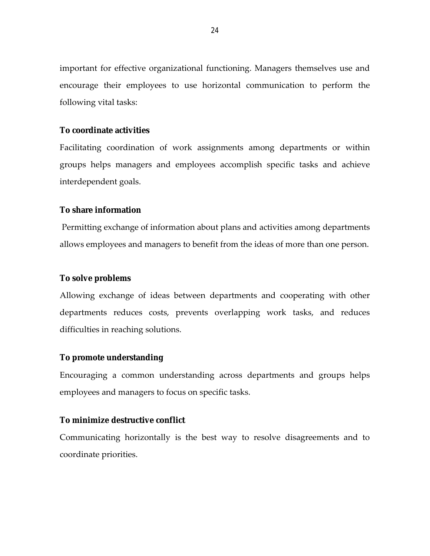important for effective organizational functioning. Managers themselves use and encourage their employees to use horizontal communication to perform the following vital tasks:

### **To coordinate activities**

Facilitating coordination of work assignments among departments or within groups helps managers and employees accomplish specific tasks and achieve interdependent goals.

### **To share information**

Permitting exchange of information about plans and activities among departments allows employees and managers to benefit from the ideas of more than one person.

### **To solve problems**

Allowing exchange of ideas between departments and cooperating with other departments reduces costs, prevents overlapping work tasks, and reduces difficulties in reaching solutions.

#### **To promote understanding**

Encouraging a common understanding across departments and groups helps employees and managers to focus on specific tasks.

#### **To minimize destructive conflict**

Communicating horizontally is the best way to resolve disagreements and to coordinate priorities.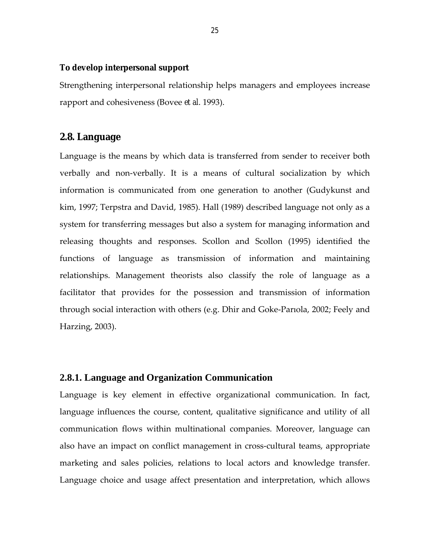**To develop interpersonal support**

Strengthening interpersonal relationship helps managers and employees increase rapport and cohesiveness (Bovee *et al*. 1993).

### **2.8. Language**

Language is the means by which data is transferred from sender to receiver both verbally and non-verbally. It is a means of cultural socialization by which information is communicated from one generation to another (Gudykunst and kim, 1997; Terpstra and David, 1985). Hall (1989) described language not only as a system for transferring messages but also a system for managing information and releasing thoughts and responses. Scollon and Scollon (1995) identified the functions of language as transmission of information and maintaining relationships. Management theorists also classify the role of language as a facilitator that provides for the possession and transmission of information through social interaction with others (e.g. Dhir and Goke-Parıola, 2002; Feely and Harzing, 2003).

## **2.8.1. Language and Organization Communication**

Language is key element in effective organizational communication. In fact, language influences the course, content, qualitative significance and utility of all communication flows within multinational companies. Moreover, language can also have an impact on conflict management in cross-cultural teams, appropriate marketing and sales policies, relations to local actors and knowledge transfer. Language choice and usage affect presentation and interpretation, which allows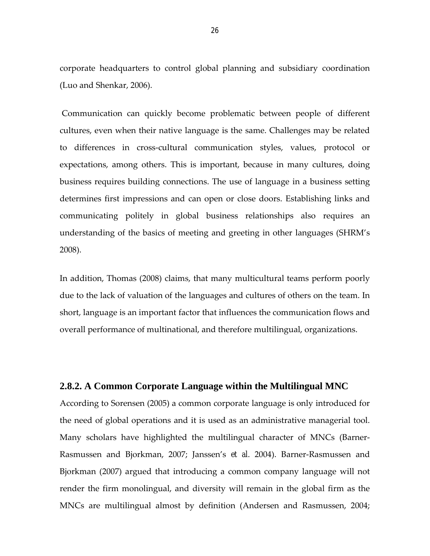corporate headquarters to control global planning and subsidiary coordination (Luo and Shenkar, 2006).

Communication can quickly become problematic between people of different cultures, even when their native language is the same. Challenges may be related to differences in cross-cultural communication styles, values, protocol or expectations, among others. This is important, because in many cultures, doing business requires building connections. The use of language in a business setting determines first impressions and can open or close doors. Establishing links and communicating politely in global business relationships also requires an understanding of the basics of meeting and greeting in other languages (SHRM's 2008).

In addition, Thomas (2008) claims, that many multicultural teams perform poorly due to the lack of valuation of the languages and cultures of others on the team. In short, language is an important factor that influences the communication flows and overall performance of multinational, and therefore multilingual, organizations.

## **2.8.2. A Common Corporate Language within the Multilingual MNC**

According to Sorensen (2005) a common corporate language is only introduced for the need of global operations and it is used as an administrative managerial tool. Many scholars have highlighted the multilingual character of MNCs (Barner-Rasmussen and Bjorkman, 2007; Janssen's *et al*. 2004). Barner-Rasmussen and Bjorkman (2007) argued that introducing a common company language will not render the firm monolingual, and diversity will remain in the global firm as the MNCs are multilingual almost by definition (Andersen and Rasmussen, 2004;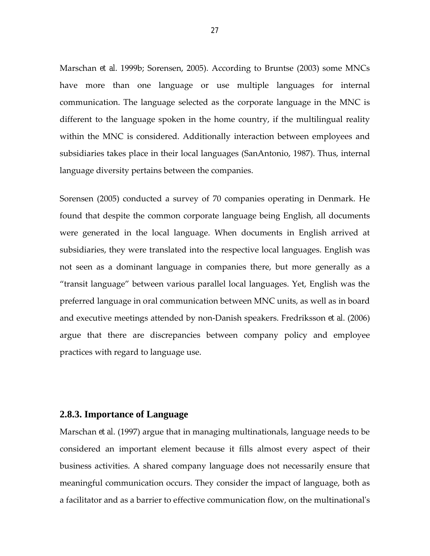Marschan *et al*. 1999b; Sorensen, 2005). According to Bruntse (2003) some MNCs have more than one language or use multiple languages for internal communication. The language selected as the corporate language in the MNC is different to the language spoken in the home country, if the multilingual reality within the MNC is considered. Additionally interaction between employees and subsidiaries takes place in their local languages (SanAntonio, 1987). Thus, internal language diversity pertains between the companies.

Sorensen (2005) conducted a survey of 70 companies operating in Denmark. He found that despite the common corporate language being English, all documents were generated in the local language. When documents in English arrived at subsidiaries, they were translated into the respective local languages. English was not seen as a dominant language in companies there, but more generally as a "transit language" between various parallel local languages. Yet, English was the preferred language in oral communication between MNC units, as well as in board and executive meetings attended by non-Danish speakers. Fredriksson *et al*. (2006) argue that there are discrepancies between company policy and employee practices with regard to language use.

#### **2.8.3. Importance of Language**

Marschan *et al*. (1997) argue that in managing multinationals, language needs to be considered an important element because it fills almost every aspect of their business activities. A shared company language does not necessarily ensure that meaningful communication occurs. They consider the impact of language, both as a facilitator and as a barrier to effective communication flow, on the multinational's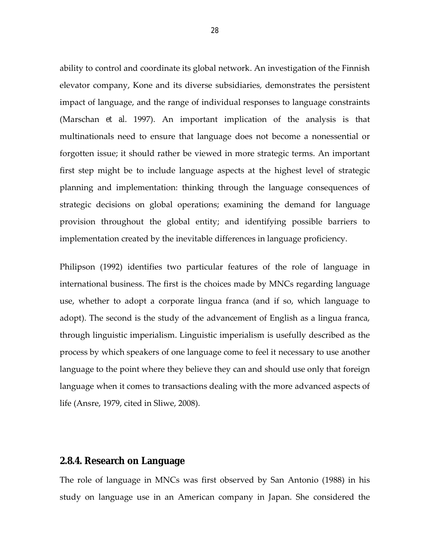ability to control and coordinate its global network. An investigation of the Finnish elevator company, Kone and its diverse subsidiaries, demonstrates the persistent impact of language, and the range of individual responses to language constraints (Marschan *et al.* 1997). An important implication of the analysis is that multinationals need to ensure that language does not become a nonessential or forgotten issue; it should rather be viewed in more strategic terms. An important first step might be to include language aspects at the highest level of strategic planning and implementation: thinking through the language consequences of strategic decisions on global operations; examining the demand for language provision throughout the global entity; and identifying possible barriers to implementation created by the inevitable differences in language proficiency.

Philipson (1992) identifies two particular features of the role of language in international business. The first is the choices made by MNCs regarding language use, whether to adopt a corporate lingua franca (and if so, which language to adopt). The second is the study of the advancement of English as a lingua franca, through linguistic imperialism. Linguistic imperialism is usefully described as the process by which speakers of one language come to feel it necessary to use another language to the point where they believe they can and should use only that foreign language when it comes to transactions dealing with the more advanced aspects of life (Ansre, 1979, cited in Sliwe, 2008).

### **2.8.4. Research on Language**

The role of language in MNCs was first observed by San Antonio (1988) in his study on language use in an American company in Japan. She considered the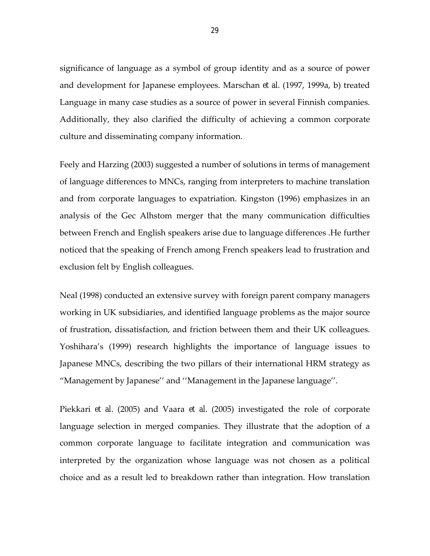significance of language as a symbol of group identity and as a source of power and development for Japanese employees. Marschan *et al*. (1997, 1999a, b) treated Language in many case studies as a source of power in several Finnish companies. Additionally, they also clarified the difficulty of achieving a common corporate culture and disseminating company information.

Feely and Harzing (2003) suggested a number of solutions in terms of management of language differences to MNCs, ranging from interpreters to machine translation and from corporate languages to expatriation. Kingston (1996) emphasizes in an analysis of the Gec Alhstom merger that the many communication difficulties between French and English speakers arise due to language differences .He further noticed that the speaking of French among French speakers lead to frustration and exclusion felt by English colleagues.

Neal (1998) conducted an extensive survey with foreign parent company managers working in UK subsidiaries, and identified language problems as the major source of frustration, dissatisfaction, and friction between them and their UK colleagues. Yoshihara's (1999) research highlights the importance of language issues to Japanese MNCs, describing the two pillars of their international HRM strategy as "Management by Japanese'' and ''Management in the Japanese language''.

Piekkari *et al.* (2005) and Vaara *et al*. (2005) investigated the role of corporate language selection in merged companies. They illustrate that the adoption of a common corporate language to facilitate integration and communication was interpreted by the organization whose language was not chosen as a political choice and as a result led to breakdown rather than integration. How translation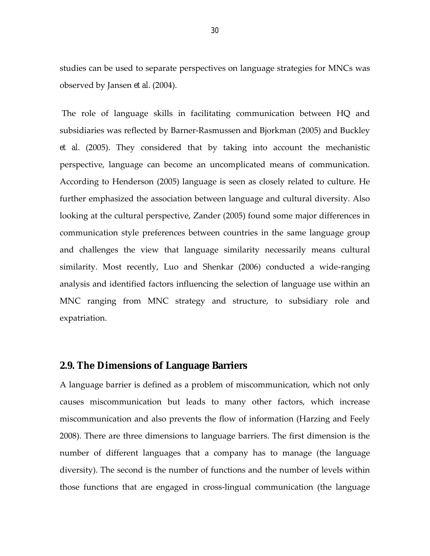studies can be used to separate perspectives on language strategies for MNCs was observed by Jansen *et al*. (2004).

The role of language skills in facilitating communication between HQ and subsidiaries was reflected by Barner-Rasmussen and Bjorkman (2005) and Buckley *et al.* (2005). They considered that by taking into account the mechanistic perspective, language can become an uncomplicated means of communication. According to Henderson (2005) language is seen as closely related to culture. He further emphasized the association between language and cultural diversity. Also looking at the cultural perspective, Zander (2005) found some major differences in communication style preferences between countries in the same language group and challenges the view that language similarity necessarily means cultural similarity. Most recently, Luo and Shenkar (2006) conducted a wide-ranging analysis and identified factors influencing the selection of language use within an MNC ranging from MNC strategy and structure, to subsidiary role and expatriation.

#### **2.9. The Dimensions of Language Barriers**

A language barrier is defined as a problem of miscommunication, which not only causes miscommunication but leads to many other factors, which increase miscommunication and also prevents the flow of information (Harzing and Feely 2008). There are three dimensions to language barriers. The first dimension is the number of different languages that a company has to manage (the language diversity). The second is the number of functions and the number of levels within those functions that are engaged in cross-lingual communication (the language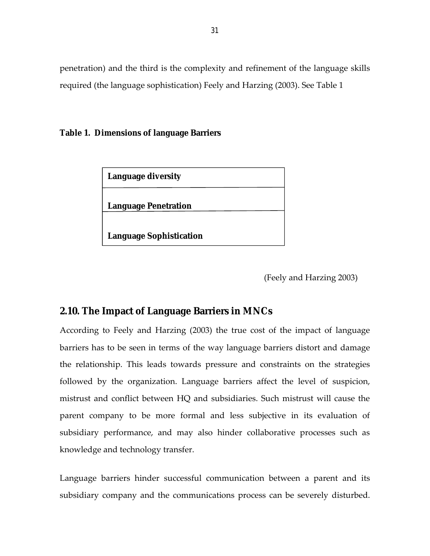penetration) and the third is the complexity and refinement of the language skills required (the language sophistication) Feely and Harzing (2003). See Table 1

**Table 1. Dimensions of language Barriers**



(Feely and Harzing 2003)

# **2.10. The Impact of Language Barriers in MNCs**

According to Feely and Harzing (2003) the true cost of the impact of language barriers has to be seen in terms of the way language barriers distort and damage the relationship. This leads towards pressure and constraints on the strategies followed by the organization. Language barriers affect the level of suspicion, mistrust and conflict between HQ and subsidiaries. Such mistrust will cause the parent company to be more formal and less subjective in its evaluation of subsidiary performance, and may also hinder collaborative processes such as knowledge and technology transfer.

Language barriers hinder successful communication between a parent and its subsidiary company and the communications process can be severely disturbed.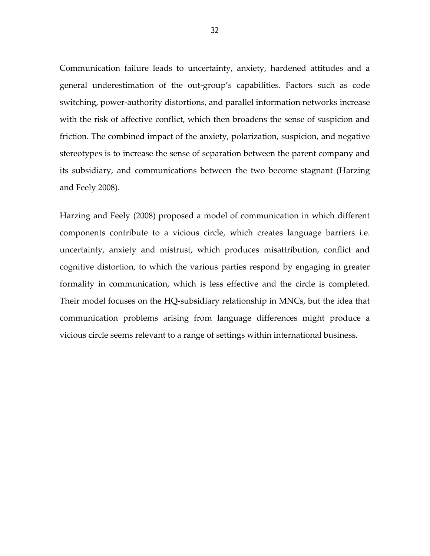Communication failure leads to uncertainty, anxiety, hardened attitudes and a general underestimation of the out-group's capabilities. Factors such as code switching, power-authority distortions, and parallel information networks increase with the risk of affective conflict, which then broadens the sense of suspicion and friction. The combined impact of the anxiety, polarization, suspicion, and negative stereotypes is to increase the sense of separation between the parent company and its subsidiary, and communications between the two become stagnant (Harzing and Feely 2008).

Harzing and Feely (2008) proposed a model of communication in which different components contribute to a vicious circle, which creates language barriers i.e. uncertainty, anxiety and mistrust, which produces misattribution, conflict and cognitive distortion, to which the various parties respond by engaging in greater formality in communication, which is less effective and the circle is completed. Their model focuses on the HQ-subsidiary relationship in MNCs, but the idea that communication problems arising from language differences might produce a vicious circle seems relevant to a range of settings within international business.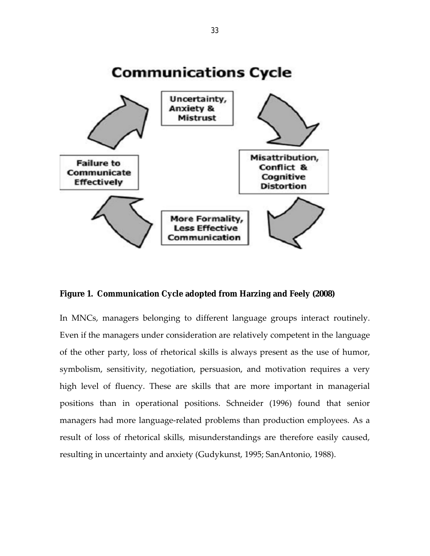

**Figure 1. Communication Cycle adopted from Harzing and Feely (2008)**

In MNCs, managers belonging to different language groups interact routinely. Even if the managers under consideration are relatively competent in the language of the other party, loss of rhetorical skills is always present as the use of humor, symbolism, sensitivity, negotiation, persuasion, and motivation requires a very high level of fluency. These are skills that are more important in managerial positions than in operational positions. Schneider (1996) found that senior managers had more language-related problems than production employees. As a result of loss of rhetorical skills, misunderstandings are therefore easily caused, resulting in uncertainty and anxiety (Gudykunst, 1995; SanAntonio, 1988).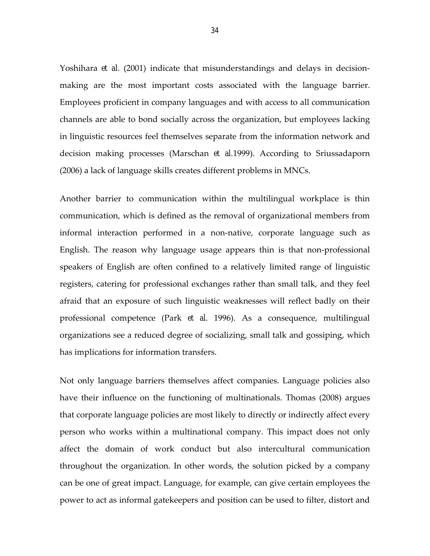Yoshihara *et al*. (2001) indicate that misunderstandings and delays in decisionmaking are the most important costs associated with the language barrier. Employees proficient in company languages and with access to all communication channels are able to bond socially across the organization, but employees lacking in linguistic resources feel themselves separate from the information network and decision making processes (Marschan *et al*.1999). According to Sriussadaporn (2006) a lack of language skills creates different problems in MNCs.

Another barrier to communication within the multilingual workplace is thin communication, which is defined as the removal of organizational members from informal interaction performed in a non-native, corporate language such as English. The reason why language usage appears thin is that non-professional speakers of English are often confined to a relatively limited range of linguistic registers, catering for professional exchanges rather than small talk, and they feel afraid that an exposure of such linguistic weaknesses will reflect badly on their professional competence (Park *et al*. 1996). As a consequence, multilingual organizations see a reduced degree of socializing, small talk and gossiping, which has implications for information transfers.

Not only language barriers themselves affect companies. Language policies also have their influence on the functioning of multinationals. Thomas (2008) argues that corporate language policies are most likely to directly or indirectly affect every person who works within a multinational company. This impact does not only affect the domain of work conduct but also intercultural communication throughout the organization. In other words, the solution picked by a company can be one of great impact. Language, for example, can give certain employees the power to act as informal gatekeepers and position can be used to filter, distort and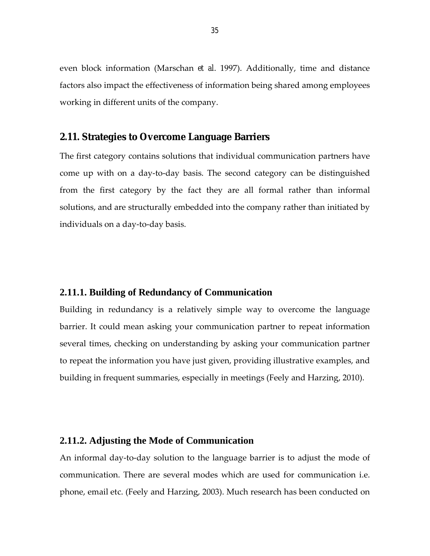even block information (Marschan *et al*. 1997). Additionally, time and distance factors also impact the effectiveness of information being shared among employees working in different units of the company.

### **2.11. Strategies to Overcome Language Barriers**

The first category contains solutions that individual communication partners have come up with on a day-to-day basis. The second category can be distinguished from the first category by the fact they are all formal rather than informal solutions, and are structurally embedded into the company rather than initiated by individuals on a day-to-day basis.

# **2.11.1. Building of Redundancy of Communication**

Building in redundancy is a relatively simple way to overcome the language barrier. It could mean asking your communication partner to repeat information several times, checking on understanding by asking your communication partner to repeat the information you have just given, providing illustrative examples, and building in frequent summaries, especially in meetings (Feely and Harzing, 2010).

#### **2.11.2. Adjusting the Mode of Communication**

An informal day-to-day solution to the language barrier is to adjust the mode of communication. There are several modes which are used for communication i.e. phone, email etc. (Feely and Harzing, 2003). Much research has been conducted on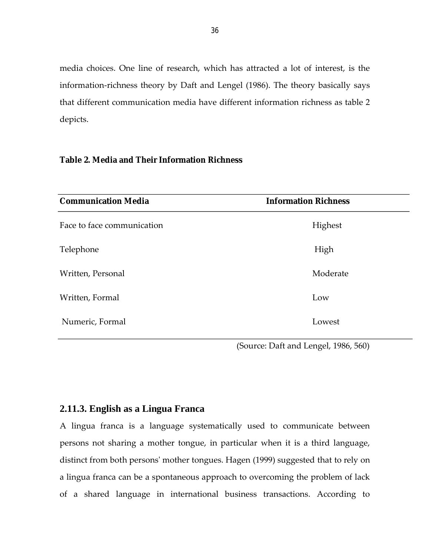media choices. One line of research, which has attracted a lot of interest, is the information-richness theory by Daft and Lengel (1986). The theory basically says that different communication media have different information richness as table 2 depicts.

**Table 2. Media and Their Information Richness**

| <b>Information Richness</b> |
|-----------------------------|
| Highest                     |
| High                        |
| Moderate                    |
| Low                         |
| Lowest                      |
|                             |

(Source: Daft and Lengel, 1986, 560)

# **2.11.3. English as a Lingua Franca**

A lingua franca is a language systematically used to communicate between persons not sharing a mother tongue, in particular when it is a third language, distinct from both persons' mother tongues. Hagen (1999) suggested that to rely on a lingua franca can be a spontaneous approach to overcoming the problem of lack of a shared language in international business transactions. According to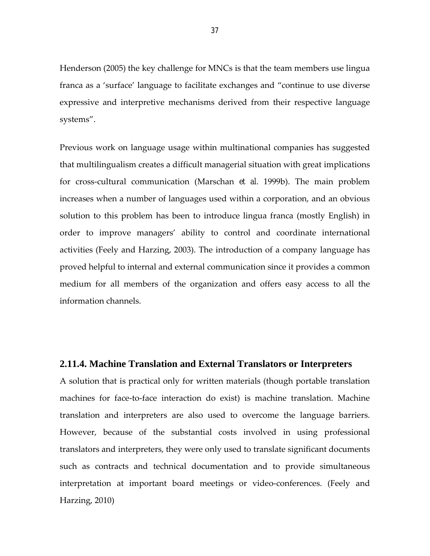Henderson (2005) the key challenge for MNCs is that the team members use lingua franca as a 'surface' language to facilitate exchanges and "continue to use diverse expressive and interpretive mechanisms derived from their respective language systems".

Previous work on language usage within multinational companies has suggested that multilingualism creates a difficult managerial situation with great implications for cross-cultural communication (Marschan *et al*. 1999b). The main problem increases when a number of languages used within a corporation, and an obvious solution to this problem has been to introduce lingua franca (mostly English) in order to improve managers' ability to control and coordinate international activities (Feely and Harzing, 2003). The introduction of a company language has proved helpful to internal and external communication since it provides a common medium for all members of the organization and offers easy access to all the information channels.

#### **2.11.4. Machine Translation and External Translators or Interpreters**

A solution that is practical only for written materials (though portable translation machines for face-to-face interaction do exist) is machine translation. Machine translation and interpreters are also used to overcome the language barriers. However, because of the substantial costs involved in using professional translators and interpreters, they were only used to translate significant documents such as contracts and technical documentation and to provide simultaneous interpretation at important board meetings or video-conferences. (Feely and Harzing, 2010)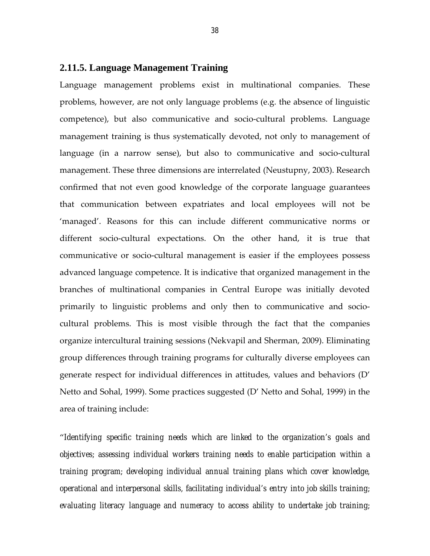## **2.11.5. Language Management Training**

Language management problems exist in multinational companies. These problems, however, are not only language problems (e.g. the absence of linguistic competence), but also communicative and socio-cultural problems. Language management training is thus systematically devoted, not only to management of language (in a narrow sense), but also to communicative and socio-cultural management. These three dimensions are interrelated (Neustupny, 2003). Research confirmed that not even good knowledge of the corporate language guarantees that communication between expatriates and local employees will not be 'managed'. Reasons for this can include different communicative norms or different socio-cultural expectations. On the other hand, it is true that communicative or socio-cultural management is easier if the employees possess advanced language competence. It is indicative that organized management in the branches of multinational companies in Central Europe was initially devoted primarily to linguistic problems and only then to communicative and sociocultural problems. This is most visible through the fact that the companies organize intercultural training sessions (Nekvapil and Sherman, 2009). Eliminating group differences through training programs for culturally diverse employees can generate respect for individual differences in attitudes, values and behaviors (D' Netto and Sohal, 1999). Some practices suggested (D' Netto and Sohal, 1999) in the area of training include:

"*Identifying specific training needs which are linked to the organization's goals and objectives; assessing individual workers training needs to enable participation within a training program; developing individual annual training plans which cover knowledge, operational and interpersonal skills, facilitating individual's entry into job skills training; evaluating literacy language and numeracy to access ability to undertake job training;*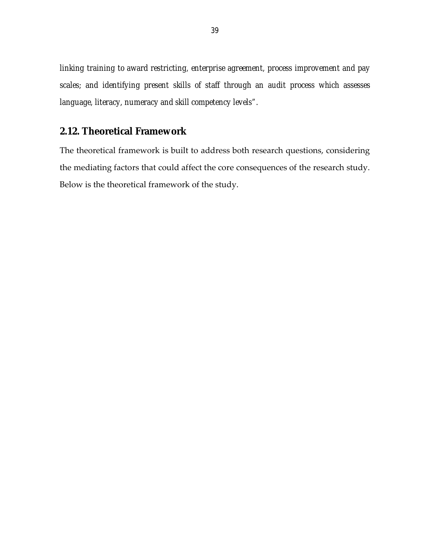*linking training to award restricting, enterprise agreement, process improvement and pay scales; and identifying present skills of staff through an audit process which assesses language, literacy, numeracy and skill competency levels".*

## **2.12. Theoretical Framework**

The theoretical framework is built to address both research questions, considering the mediating factors that could affect the core consequences of the research study. Below is the theoretical framework of the study.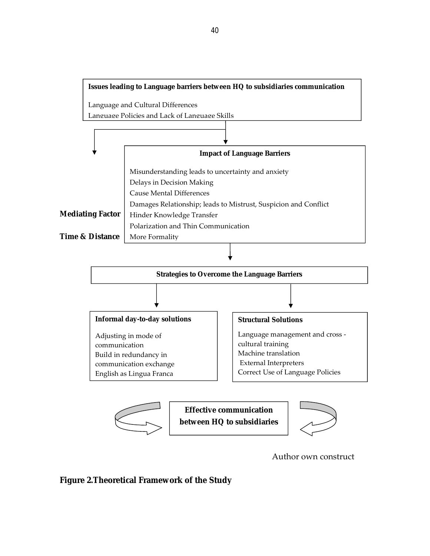

Author own construct

**Figure 2.Theoretical Framework of the Study**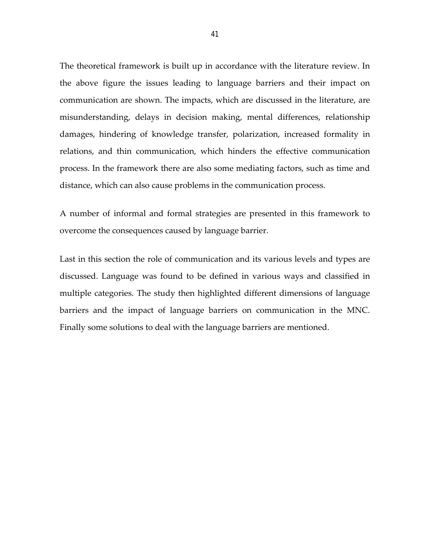The theoretical framework is built up in accordance with the literature review. In the above figure the issues leading to language barriers and their impact on communication are shown. The impacts, which are discussed in the literature, are misunderstanding, delays in decision making, mental differences, relationship damages, hindering of knowledge transfer, polarization, increased formality in relations, and thin communication, which hinders the effective communication process. In the framework there are also some mediating factors, such as time and distance, which can also cause problems in the communication process.

A number of informal and formal strategies are presented in this framework to overcome the consequences caused by language barrier.

Last in this section the role of communication and its various levels and types are discussed. Language was found to be defined in various ways and classified in multiple categories. The study then highlighted different dimensions of language barriers and the impact of language barriers on communication in the MNC. Finally some solutions to deal with the language barriers are mentioned.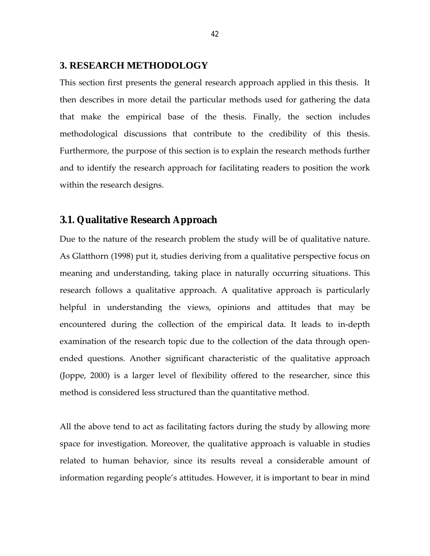#### **3. RESEARCH METHODOLOGY**

This section first presents the general research approach applied in this thesis. It then describes in more detail the particular methods used for gathering the data that make the empirical base of the thesis. Finally, the section includes methodological discussions that contribute to the credibility of this thesis. Furthermore, the purpose of this section is to explain the research methods further and to identify the research approach for facilitating readers to position the work within the research designs.

#### **3.1. Qualitative Research Approach**

Due to the nature of the research problem the study will be of qualitative nature. As Glatthorn (1998) put it, studies deriving from a qualitative perspective focus on meaning and understanding, taking place in naturally occurring situations. This research follows a qualitative approach. A qualitative approach is particularly helpful in understanding the views, opinions and attitudes that may be encountered during the collection of the empirical data. It leads to in-depth examination of the research topic due to the collection of the data through openended questions. Another significant characteristic of the qualitative approach (Joppe, 2000) is a larger level of flexibility offered to the researcher, since this method is considered less structured than the quantitative method.

All the above tend to act as facilitating factors during the study by allowing more space for investigation. Moreover, the qualitative approach is valuable in studies related to human behavior, since its results reveal a considerable amount of information regarding people's attitudes. However, it is important to bear in mind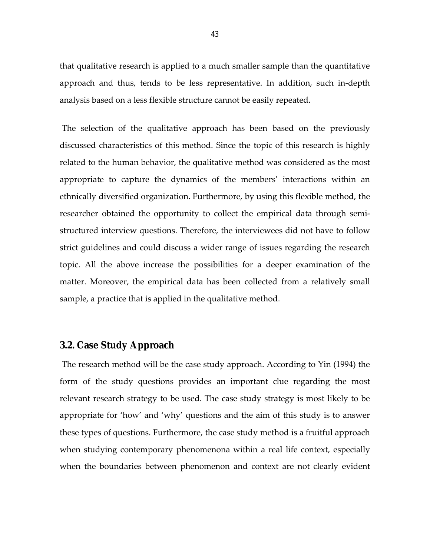that qualitative research is applied to a much smaller sample than the quantitative approach and thus, tends to be less representative. In addition, such in-depth analysis based on a less flexible structure cannot be easily repeated.

The selection of the qualitative approach has been based on the previously discussed characteristics of this method. Since the topic of this research is highly related to the human behavior, the qualitative method was considered as the most appropriate to capture the dynamics of the members' interactions within an ethnically diversified organization. Furthermore, by using this flexible method, the researcher obtained the opportunity to collect the empirical data through semistructured interview questions. Therefore, the interviewees did not have to follow strict guidelines and could discuss a wider range of issues regarding the research topic. All the above increase the possibilities for a deeper examination of the matter. Moreover, the empirical data has been collected from a relatively small sample, a practice that is applied in the qualitative method.

## **3.2. Case Study Approach**

The research method will be the case study approach. According to Yin (1994) the form of the study questions provides an important clue regarding the most relevant research strategy to be used. The case study strategy is most likely to be appropriate for 'how' and 'why' questions and the aim of this study is to answer these types of questions. Furthermore, the case study method is a fruitful approach when studying contemporary phenomenona within a real life context, especially when the boundaries between phenomenon and context are not clearly evident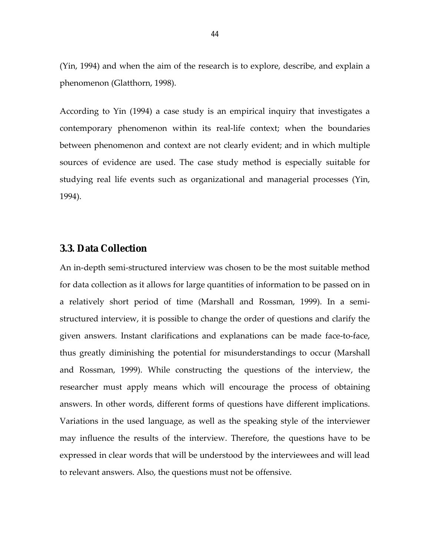(Yin, 1994) and when the aim of the research is to explore, describe, and explain a phenomenon (Glatthorn, 1998).

According to Yin (1994) a case study is an empirical inquiry that investigates a contemporary phenomenon within its real-life context; when the boundaries between phenomenon and context are not clearly evident; and in which multiple sources of evidence are used. The case study method is especially suitable for studying real life events such as organizational and managerial processes (Yin, 1994).

## **3.3. Data Collection**

An in-depth semi-structured interview was chosen to be the most suitable method for data collection as it allows for large quantities of information to be passed on in a relatively short period of time (Marshall and Rossman, 1999). In a semistructured interview, it is possible to change the order of questions and clarify the given answers. Instant clarifications and explanations can be made face-to-face, thus greatly diminishing the potential for misunderstandings to occur (Marshall and Rossman, 1999). While constructing the questions of the interview, the researcher must apply means which will encourage the process of obtaining answers. In other words, different forms of questions have different implications. Variations in the used language, as well as the speaking style of the interviewer may influence the results of the interview. Therefore, the questions have to be expressed in clear words that will be understood by the interviewees and will lead to relevant answers. Also, the questions must not be offensive.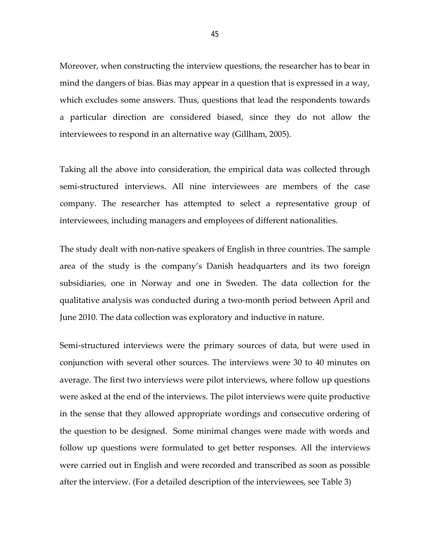Moreover, when constructing the interview questions, the researcher has to bear in mind the dangers of bias. Bias may appear in a question that is expressed in a way, which excludes some answers. Thus, questions that lead the respondents towards a particular direction are considered biased, since they do not allow the interviewees to respond in an alternative way (Gillham, 2005).

Taking all the above into consideration, the empirical data was collected through semi-structured interviews. All nine interviewees are members of the case company. The researcher has attempted to select a representative group of interviewees, including managers and employees of different nationalities.

The study dealt with non-native speakers of English in three countries. The sample area of the study is the company's Danish headquarters and its two foreign subsidiaries, one in Norway and one in Sweden. The data collection for the qualitative analysis was conducted during a two-month period between April and June 2010. The data collection was exploratory and inductive in nature.

Semi-structured interviews were the primary sources of data, but were used in conjunction with several other sources. The interviews were 30 to 40 minutes on average. The first two interviews were pilot interviews, where follow up questions were asked at the end of the interviews. The pilot interviews were quite productive in the sense that they allowed appropriate wordings and consecutive ordering of the question to be designed. Some minimal changes were made with words and follow up questions were formulated to get better responses. All the interviews were carried out in English and were recorded and transcribed as soon as possible after the interview. (For a detailed description of the interviewees, see Table 3)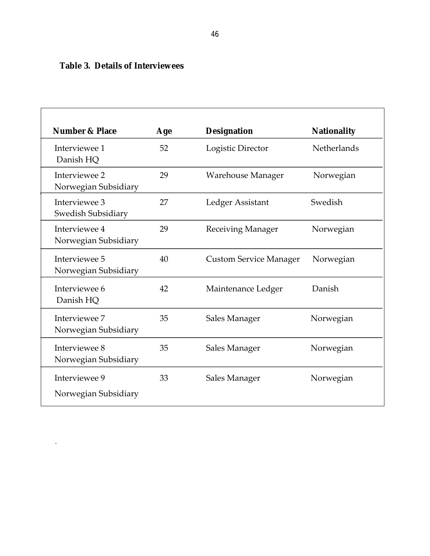# **Table 3. Details of Interviewees**

 $\hat{\mathbf{r}}$ 

| Number & Place                        | Age | Designation                   | Nationality        |
|---------------------------------------|-----|-------------------------------|--------------------|
| Interviewee 1<br>Danish HQ            | 52  | Logistic Director             | <b>Netherlands</b> |
| Interviewee 2<br>Norwegian Subsidiary | 29  | Warehouse Manager             | Norwegian          |
| Interviewee 3<br>Swedish Subsidiary   | 27  | Ledger Assistant              | Swedish            |
| Interviewee 4<br>Norwegian Subsidiary | 29  | <b>Receiving Manager</b>      | Norwegian          |
| Interviewee 5<br>Norwegian Subsidiary | 40  | <b>Custom Service Manager</b> | Norwegian          |
| Interviewee 6<br>Danish HQ            | 42  | Maintenance Ledger            | Danish             |
| Interviewee 7<br>Norwegian Subsidiary | 35  | Sales Manager                 | Norwegian          |
| Interviewee 8<br>Norwegian Subsidiary | 35  | Sales Manager                 | Norwegian          |
| Interviewee 9<br>Norwegian Subsidiary | 33  | Sales Manager                 | Norwegian          |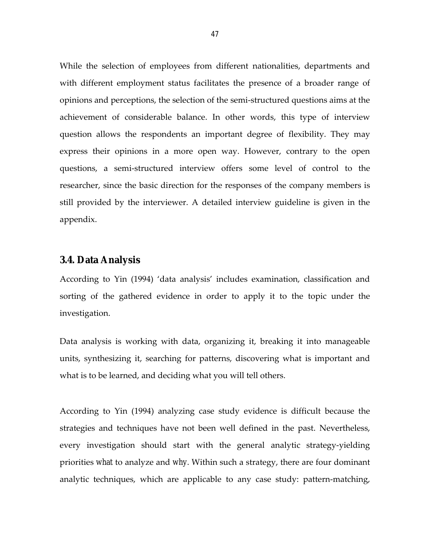While the selection of employees from different nationalities, departments and with different employment status facilitates the presence of a broader range of opinions and perceptions, the selection of the semi-structured questions aims at the achievement of considerable balance. In other words, this type of interview question allows the respondents an important degree of flexibility. They may express their opinions in a more open way. However, contrary to the open questions, a semi-structured interview offers some level of control to the researcher, since the basic direction for the responses of the company members is still provided by the interviewer. A detailed interview guideline is given in the appendix.

#### **3.4. Data Analysis**

According to Yin (1994) 'data analysis' includes examination, classification and sorting of the gathered evidence in order to apply it to the topic under the investigation.

Data analysis is working with data, organizing it, breaking it into manageable units, synthesizing it, searching for patterns, discovering what is important and what is to be learned, and deciding what you will tell others.

According to Yin (1994) analyzing case study evidence is difficult because the strategies and techniques have not been well defined in the past. Nevertheless, every investigation should start with the general analytic strategy-yielding priorities *what* to analyze and *why*. Within such a strategy, there are four dominant analytic techniques, which are applicable to any case study: pattern-matching,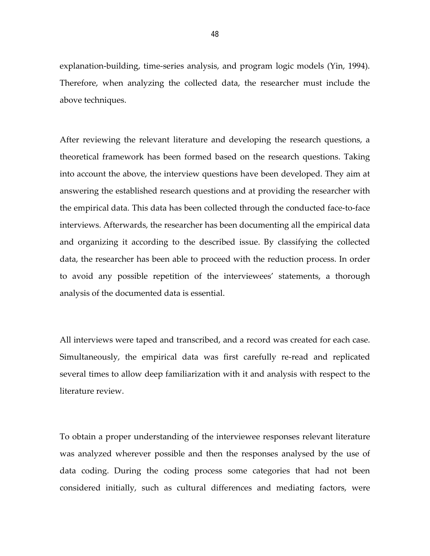explanation-building, time-series analysis, and program logic models (Yin, 1994). Therefore, when analyzing the collected data, the researcher must include the above techniques.

After reviewing the relevant literature and developing the research questions, a theoretical framework has been formed based on the research questions. Taking into account the above, the interview questions have been developed. They aim at answering the established research questions and at providing the researcher with the empirical data. This data has been collected through the conducted face-to-face interviews. Afterwards, the researcher has been documenting all the empirical data and organizing it according to the described issue. By classifying the collected data, the researcher has been able to proceed with the reduction process. In order to avoid any possible repetition of the interviewees' statements, a thorough analysis of the documented data is essential.

All interviews were taped and transcribed, and a record was created for each case. Simultaneously, the empirical data was first carefully re-read and replicated several times to allow deep familiarization with it and analysis with respect to the literature review.

To obtain a proper understanding of the interviewee responses relevant literature was analyzed wherever possible and then the responses analysed by the use of data coding. During the coding process some categories that had not been considered initially, such as cultural differences and mediating factors, were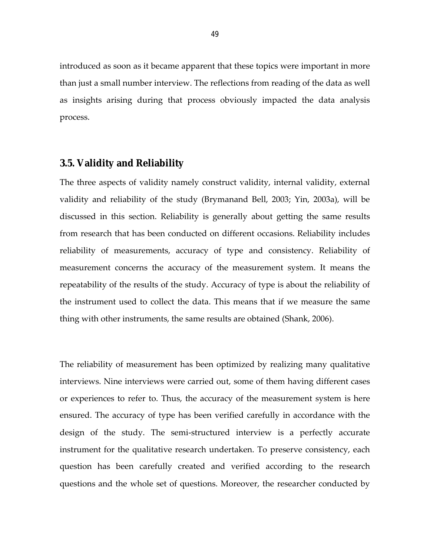introduced as soon as it became apparent that these topics were important in more than just a small number interview. The reflections from reading of the data as well as insights arising during that process obviously impacted the data analysis process.

#### **3.5. Validity and Reliability**

The three aspects of validity namely construct validity, internal validity, external validity and reliability of the study (Brymanand Bell, 2003; Yin, 2003a), will be discussed in this section. Reliability is generally about getting the same results from research that has been conducted on different occasions. Reliability includes reliability of measurements, accuracy of type and consistency. Reliability of measurement concerns the accuracy of the measurement system. It means the repeatability of the results of the study. Accuracy of type is about the reliability of the instrument used to collect the data. This means that if we measure the same thing with other instruments, the same results are obtained (Shank, 2006).

The reliability of measurement has been optimized by realizing many qualitative interviews. Nine interviews were carried out, some of them having different cases or experiences to refer to. Thus, the accuracy of the measurement system is here ensured. The accuracy of type has been verified carefully in accordance with the design of the study. The semi-structured interview is a perfectly accurate instrument for the qualitative research undertaken. To preserve consistency, each question has been carefully created and verified according to the research questions and the whole set of questions. Moreover, the researcher conducted by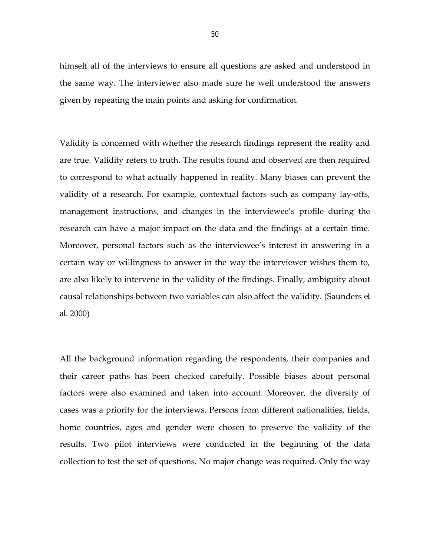himself all of the interviews to ensure all questions are asked and understood in the same way. The interviewer also made sure he well understood the answers given by repeating the main points and asking for confirmation.

Validity is concerned with whether the research findings represent the reality and are true. Validity refers to truth. The results found and observed are then required to correspond to what actually happened in reality. Many biases can prevent the validity of a research. For example, contextual factors such as company lay-offs, management instructions, and changes in the interviewee's profile during the research can have a major impact on the data and the findings at a certain time. Moreover, personal factors such as the interviewee's interest in answering in a certain way or willingness to answer in the way the interviewer wishes them to, are also likely to intervene in the validity of the findings. Finally, ambiguity about causal relationships between two variables can also affect the validity. (Saunders *et al*. 2000)

All the background information regarding the respondents, their companies and their career paths has been checked carefully. Possible biases about personal factors were also examined and taken into account. Moreover, the diversity of cases was a priority for the interviews. Persons from different nationalities, fields, home countries, ages and gender were chosen to preserve the validity of the results. Two pilot interviews were conducted in the beginning of the data collection to test the set of questions. No major change was required. Only the way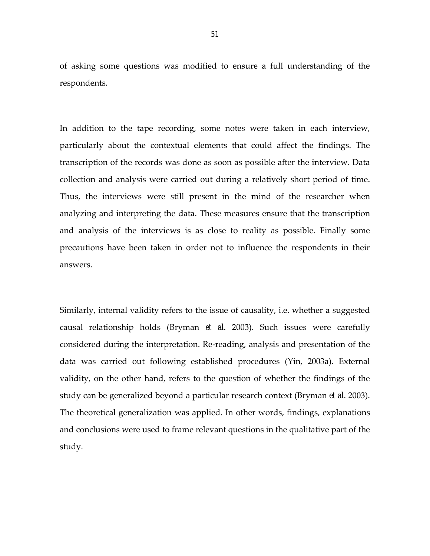of asking some questions was modified to ensure a full understanding of the respondents.

In addition to the tape recording, some notes were taken in each interview, particularly about the contextual elements that could affect the findings. The transcription of the records was done as soon as possible after the interview. Data collection and analysis were carried out during a relatively short period of time. Thus, the interviews were still present in the mind of the researcher when analyzing and interpreting the data. These measures ensure that the transcription and analysis of the interviews is as close to reality as possible. Finally some precautions have been taken in order not to influence the respondents in their answers.

Similarly, internal validity refers to the issue of causality, i.e. whether a suggested causal relationship holds (Bryman *et al*. 2003). Such issues were carefully considered during the interpretation. Re-reading, analysis and presentation of the data was carried out following established procedures (Yin, 2003a). External validity, on the other hand, refers to the question of whether the findings of the study can be generalized beyond a particular research context (Bryman *et al.* 2003). The theoretical generalization was applied. In other words, findings, explanations and conclusions were used to frame relevant questions in the qualitative part of the study.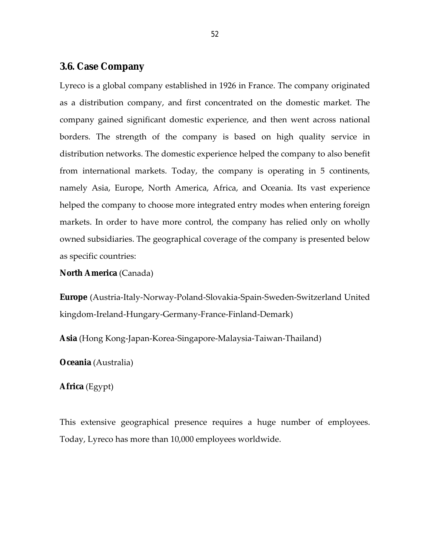#### **3.6. Case Company**

Lyreco is a global company established in 1926 in France. The company originated as a distribution company, and first concentrated on the domestic market. The company gained significant domestic experience, and then went across national borders. The strength of the company is based on high quality service in distribution networks. The domestic experience helped the company to also benefit from international markets. Today, the company is operating in 5 continents, namely Asia, Europe, North America, Africa, and Oceania. Its vast experience helped the company to choose more integrated entry modes when entering foreign markets. In order to have more control, the company has relied only on wholly owned subsidiaries. The geographical coverage of the company is presented below as specific countries:

**North America** (Canada)

**Europe** (Austria-Italy-Norway-Poland-Slovakia-Spain-Sweden-Switzerland United kingdom-Ireland-Hungary-Germany-France-Finland-Demark)

**Asia** (Hong Kong-Japan-Korea-Singapore-Malaysia-Taiwan-Thailand)

**Oceania** (Australia)

**Africa** (Egypt)

This extensive geographical presence requires a huge number of employees. Today, Lyreco has more than 10,000 employees worldwide.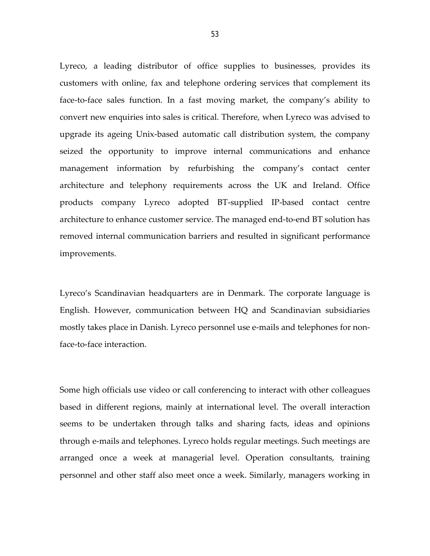Lyreco, a leading distributor of office supplies to businesses, provides its customers with online, fax and telephone ordering services that complement its face-to-face sales function. In a fast moving market, the company's ability to convert new enquiries into sales is critical. Therefore, when Lyreco was advised to upgrade its ageing Unix-based automatic call distribution system, the company seized the opportunity to improve internal communications and enhance management information by refurbishing the company's contact center architecture and telephony requirements across the UK and Ireland. Office products company Lyreco adopted BT-supplied IP-based contact centre architecture to enhance customer service. The managed end-to-end BT solution has removed internal communication barriers and resulted in significant performance improvements.

Lyreco's Scandinavian headquarters are in Denmark. The corporate language is English. However, communication between HQ and Scandinavian subsidiaries mostly takes place in Danish. Lyreco personnel use e-mails and telephones for nonface-to-face interaction.

Some high officials use video or call conferencing to interact with other colleagues based in different regions, mainly at international level. The overall interaction seems to be undertaken through talks and sharing facts, ideas and opinions through e-mails and telephones. Lyreco holds regular meetings. Such meetings are arranged once a week at managerial level. Operation consultants, training personnel and other staff also meet once a week. Similarly, managers working in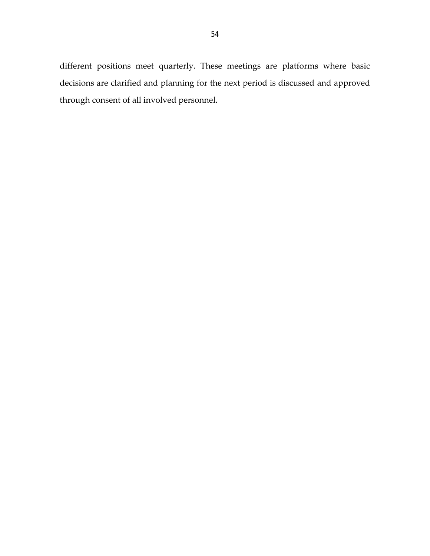different positions meet quarterly. These meetings are platforms where basic decisions are clarified and planning for the next period is discussed and approved through consent of all involved personnel.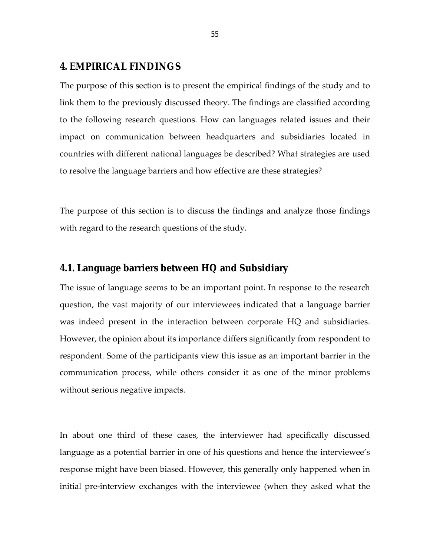## **4. EMPIRICAL FINDINGS**

The purpose of this section is to present the empirical findings of the study and to link them to the previously discussed theory. The findings are classified according to the following research questions. How can languages related issues and their impact on communication between headquarters and subsidiaries located in countries with different national languages be described? What strategies are used to resolve the language barriers and how effective are these strategies?

The purpose of this section is to discuss the findings and analyze those findings with regard to the research questions of the study.

## **4.1. Language barriers between HQ and Subsidiary**

The issue of language seems to be an important point. In response to the research question, the vast majority of our interviewees indicated that a language barrier was indeed present in the interaction between corporate HQ and subsidiaries. However, the opinion about its importance differs significantly from respondent to respondent. Some of the participants view this issue as an important barrier in the communication process, while others consider it as one of the minor problems without serious negative impacts.

In about one third of these cases, the interviewer had specifically discussed language as a potential barrier in one of his questions and hence the interviewee's response might have been biased. However, this generally only happened when in initial pre-interview exchanges with the interviewee (when they asked what the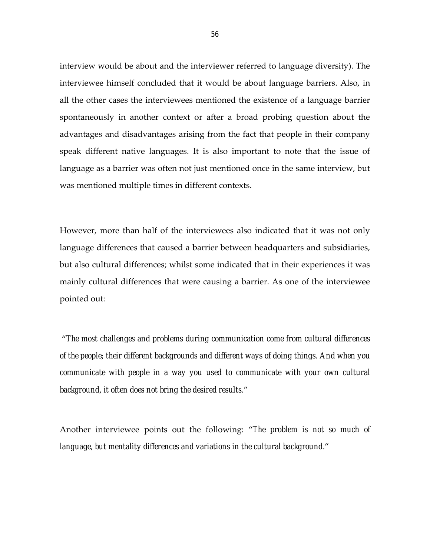interview would be about and the interviewer referred to language diversity). The interviewee himself concluded that it would be about language barriers. Also, in all the other cases the interviewees mentioned the existence of a language barrier spontaneously in another context or after a broad probing question about the advantages and disadvantages arising from the fact that people in their company speak different native languages. It is also important to note that the issue of language as a barrier was often not just mentioned once in the same interview, but was mentioned multiple times in different contexts.

However, more than half of the interviewees also indicated that it was not only language differences that caused a barrier between headquarters and subsidiaries, but also cultural differences; whilst some indicated that in their experiences it was mainly cultural differences that were causing a barrier. As one of the interviewee pointed out:

"*The most challenges and problems during communication come from cultural differences of the people; their different backgrounds and different ways of doing things. And when you communicate with people in a way you used to communicate with your own cultural background, it often does not bring the desired results*."

Another interviewee points out the following: "*The problem is not so much of language, but mentality differences and variations in the cultural background*."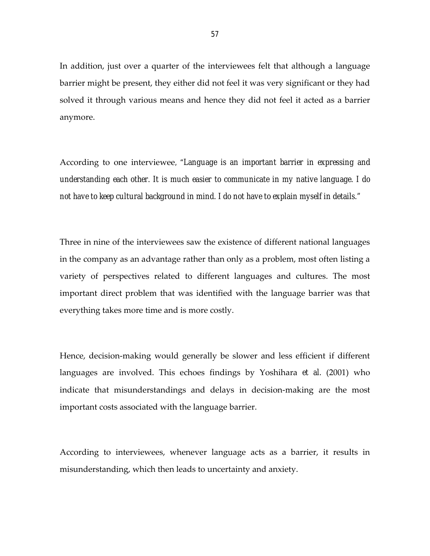In addition, just over a quarter of the interviewees felt that although a language barrier might be present, they either did not feel it was very significant or they had solved it through various means and hence they did not feel it acted as a barrier anymore.

According to one interviewee, "*Language is an important barrier in expressing and understanding each other. It is much easier to communicate in my native language. I do not have to keep cultural background in mind. I do not have to explain myself in details."*

Three in nine of the interviewees saw the existence of different national languages in the company as an advantage rather than only as a problem, most often listing a variety of perspectives related to different languages and cultures. The most important direct problem that was identified with the language barrier was that everything takes more time and is more costly.

Hence, decision-making would generally be slower and less efficient if different languages are involved. This echoes findings by Yoshihara *et al.* (2001) who indicate that misunderstandings and delays in decision-making are the most important costs associated with the language barrier.

According to interviewees, whenever language acts as a barrier, it results in misunderstanding, which then leads to uncertainty and anxiety.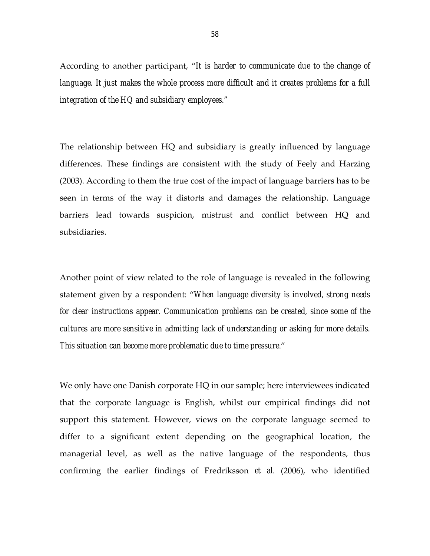According to another participant, "*It is harder to communicate due to the change of*  language. It just makes the whole process more difficult and it creates problems for a full *integration of the HQ and subsidiary employees."*

The relationship between HQ and subsidiary is greatly influenced by language differences. These findings are consistent with the study of Feely and Harzing (2003). According to them the true cost of the impact of language barriers has to be seen in terms of the way it distorts and damages the relationship. Language barriers lead towards suspicion, mistrust and conflict between HQ and subsidiaries.

Another point of view related to the role of language is revealed in the following statement given by a respondent: "*When language diversity is involved, strong needs for clear instructions appear. Communication problems can be created, since some of the cultures are more sensitive in admitting lack of understanding or asking for more details. This situation can become more problematic due to time pressure*."

We only have one Danish corporate HQ in our sample; here interviewees indicated that the corporate language is English, whilst our empirical findings did not support this statement. However, views on the corporate language seemed to differ to a significant extent depending on the geographical location, the managerial level, as well as the native language of the respondents, thus confirming the earlier findings of Fredriksson *et al.* (2006), who identified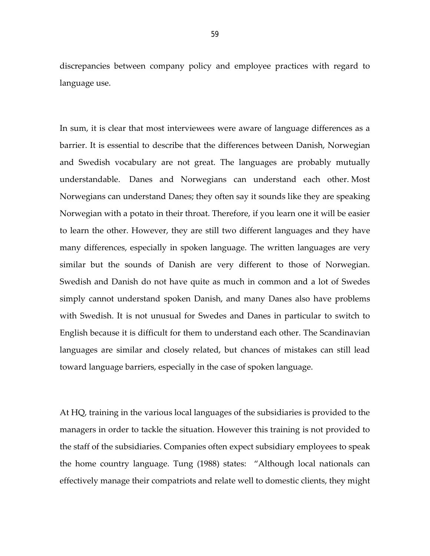discrepancies between company policy and employee practices with regard to language use.

In sum, it is clear that most interviewees were aware of language differences as a barrier. It is essential to describe that the differences between Danish, Norwegian and Swedish vocabulary are not great. The languages are probably mutually understandable. Danes and Norwegians can understand each other. Most Norwegians can understand Danes; they often say it sounds like they are speaking Norwegian with a potato in their throat. Therefore, if you learn one it will be easier to learn the other. However, they are still two different languages and they have many differences, especially in spoken language. The written languages are very similar but the sounds of Danish are very different to those of Norwegian. Swedish and Danish do not have quite as much in common and a lot of Swedes simply cannot understand spoken Danish, and many Danes also have problems with Swedish. It is not unusual for Swedes and Danes in particular to switch to English because it is difficult for them to understand each other. The Scandinavian languages are similar and closely related, but chances of mistakes can still lead toward language barriers, especially in the case of spoken language.

At HQ, training in the various local languages of the subsidiaries is provided to the managers in order to tackle the situation. However this training is not provided to the staff of the subsidiaries. Companies often expect subsidiary employees to speak the home country language. Tung (1988) states: "Although local nationals can effectively manage their compatriots and relate well to domestic clients, they might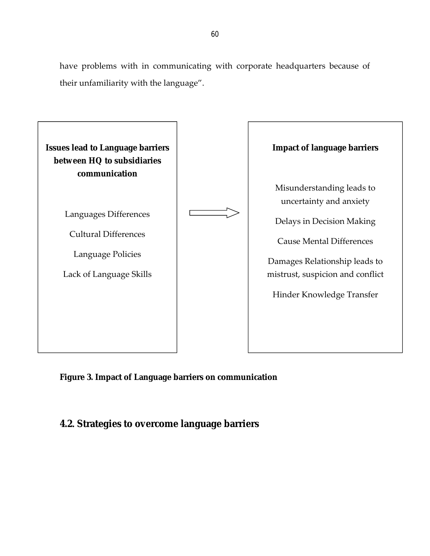have problems with in communicating with corporate headquarters because of their unfamiliarity with the language".



**Figure 3. Impact of Language barriers on communication**

## **4.2. Strategies to overcome language barriers**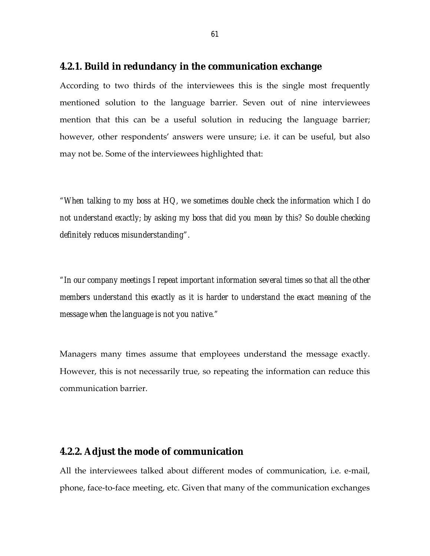#### **4.2.1. Build in redundancy in the communication exchange**

According to two thirds of the interviewees this is the single most frequently mentioned solution to the language barrier. Seven out of nine interviewees mention that this can be a useful solution in reducing the language barrier; however, other respondents' answers were unsure; i.e. it can be useful, but also may not be. Some of the interviewees highlighted that:

*"When talking to my boss at HQ, we sometimes double check the information which I do not understand exactly; by asking my boss that did you mean by this? So double checking definitely reduces misunderstanding".*

*"In our company meetings I repeat important information several times so that all the other members understand this exactly as it is harder to understand the exact meaning of the message when the language is not you native."*

Managers many times assume that employees understand the message exactly. However, this is not necessarily true, so repeating the information can reduce this communication barrier.

## **4.2.2. Adjust the mode of communication**

All the interviewees talked about different modes of communication, i.e. e-mail, phone, face-to-face meeting, etc. Given that many of the communication exchanges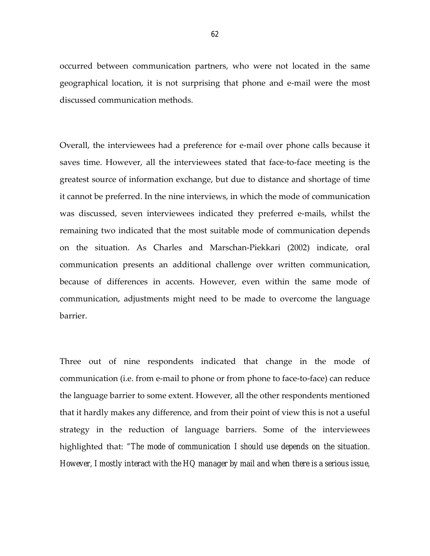occurred between communication partners, who were not located in the same geographical location, it is not surprising that phone and e-mail were the most discussed communication methods.

Overall, the interviewees had a preference for e-mail over phone calls because it saves time. However, all the interviewees stated that face-to-face meeting is the greatest source of information exchange, but due to distance and shortage of time it cannot be preferred. In the nine interviews, in which the mode of communication was discussed, seven interviewees indicated they preferred e-mails, whilst the remaining two indicated that the most suitable mode of communication depends on the situation. As Charles and Marschan-Piekkari (2002) indicate, oral communication presents an additional challenge over written communication, because of differences in accents. However, even within the same mode of communication, adjustments might need to be made to overcome the language barrier.

Three out of nine respondents indicated that change in the mode of communication (i.e. from e-mail to phone or from phone to face-to-face) can reduce the language barrier to some extent. However, all the other respondents mentioned that it hardly makes any difference, and from their point of view this is not a useful strategy in the reduction of language barriers. Some of the interviewees highlighted that: *"The mode of communication I should use depends on the situation. However, I mostly interact with the HQ manager by mail and when there is a serious issue,*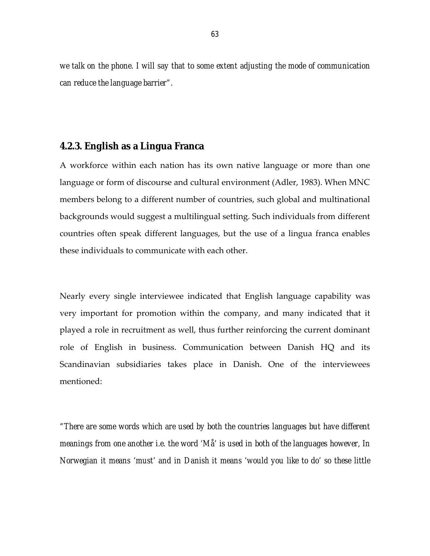*we talk on the phone. I will say that to some extent adjusting the mode of communication can reduce the language barrier".*

## **4.2.3. English as a Lingua Franca**

A workforce within each nation has its own native language or more than one language or form of discourse and cultural environment (Adler, 1983). When MNC members belong to a different number of countries, such global and multinational backgrounds would suggest a multilingual setting. Such individuals from different countries often speak different languages, but the use of a lingua franca enables these individuals to communicate with each other.

Nearly every single interviewee indicated that English language capability was very important for promotion within the company, and many indicated that it played a role in recruitment as well, thus further reinforcing the current dominant role of English in business. Communication between Danish HQ and its Scandinavian subsidiaries takes place in Danish. One of the interviewees mentioned:

*"There are some words which are used by both the countries languages but have different meanings from one another i.e. the word 'Må' is used in both of the languages however, In Norwegian it means 'must' and in Danish it means 'would you like to do' so these little*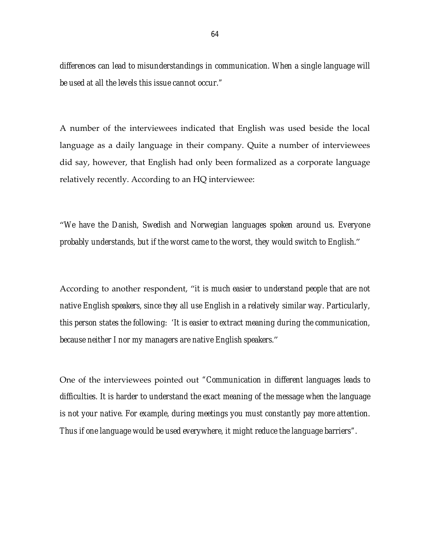*differences can lead to misunderstandings in communication. When a single language will be used at all the levels this issue cannot occur."*

A number of the interviewees indicated that English was used beside the local language as a daily language in their company. Quite a number of interviewees did say, however, that English had only been formalized as a corporate language relatively recently. According to an HQ interviewee:

"*We have the Danish, Swedish and Norwegian languages spoken around us. Everyone probably understands, but if the worst came to the worst, they would switch to English*."

According to another respondent, "*it is much easier to understand people that are not native English speakers, since they all use English in a relatively similar way. Particularly, this person states the following: 'It is easier to extract meaning during the communication, because neither I nor my managers are native English speakers*."

One of the interviewees pointed out *"Communication in different languages leads to difficulties. It is harder to understand the exact meaning of the message when the language is not your native. For example, during meetings you must constantly pay more attention. Thus if one language would be used everywhere, it might reduce the language barriers".*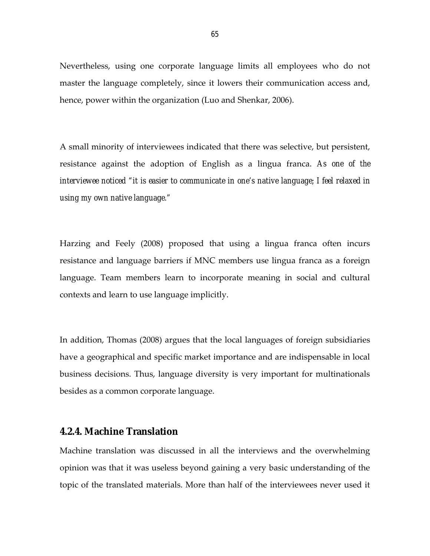Nevertheless, using one corporate language limits all employees who do not master the language completely, since it lowers their communication access and, hence, power within the organization (Luo and Shenkar, 2006).

A small minority of interviewees indicated that there was selective, but persistent, resistance against the adoption of English as a lingua franca*. As one of the interviewee noticed "it is easier to communicate in one's native language; I feel relaxed in using my own native language."*

Harzing and Feely (2008) proposed that using a lingua franca often incurs resistance and language barriers if MNC members use lingua franca as a foreign language. Team members learn to incorporate meaning in social and cultural contexts and learn to use language implicitly*.*

In addition, Thomas (2008) argues that the local languages of foreign subsidiaries have a geographical and specific market importance and are indispensable in local business decisions. Thus, language diversity is very important for multinationals besides as a common corporate language.

## **4.2.4. Machine Translation**

Machine translation was discussed in all the interviews and the overwhelming opinion was that it was useless beyond gaining a very basic understanding of the topic of the translated materials. More than half of the interviewees never used it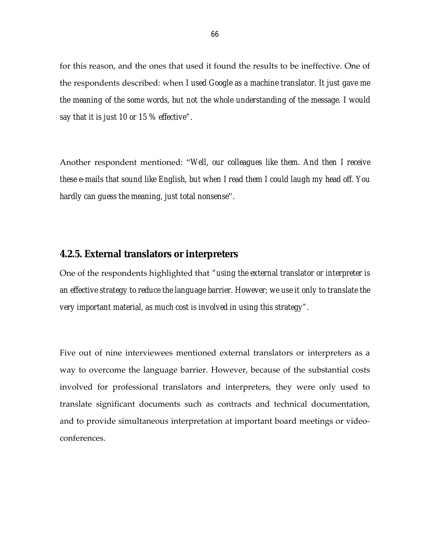for this reason, and the ones that used it found the results to be ineffective. One of the respondents described: when *I used Google as a machine translator. It just gave me the meaning of the some words, but not the whole understanding of the message. I would say that it is just 10 or 15 % effective".*

Another respondent mentioned: "*Well, our colleagues like them. And then I receive these e-mails that sound like English, but when I read them I could laugh my head off. You hardly can guess the meaning, just total nonsense*".

## **4.2.5. External translators or interpreters**

One of the respondents highlighted that *"using the external translator or interpreter is an effective strategy to reduce the language barrier. However; we use it only to translate the very important material, as much cost is involved in using this strategy".*

Five out of nine interviewees mentioned external translators or interpreters as a way to overcome the language barrier. However, because of the substantial costs involved for professional translators and interpreters, they were only used to translate significant documents such as contracts and technical documentation, and to provide simultaneous interpretation at important board meetings or videoconferences.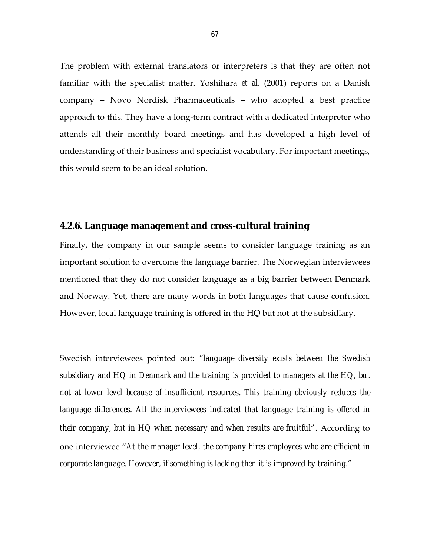The problem with external translators or interpreters is that they are often not familiar with the specialist matter. Yoshihara *et al.* (2001) reports on a Danish company – Novo Nordisk Pharmaceuticals – who adopted a best practice approach to this. They have a long-term contract with a dedicated interpreter who attends all their monthly board meetings and has developed a high level of understanding of their business and specialist vocabulary. For important meetings, this would seem to be an ideal solution.

#### **4.2.6. Language management and cross-cultural training**

Finally, the company in our sample seems to consider language training as an important solution to overcome the language barrier. The Norwegian interviewees mentioned that they do not consider language as a big barrier between Denmark and Norway. Yet, there are many words in both languages that cause confusion. However, local language training is offered in the HQ but not at the subsidiary.

Swedish interviewees pointed out: "*language diversity exists between the Swedish subsidiary and HQ in Denmark and the training is provided to managers at the HQ, but*  not at lower level because of insufficient resources. This training obviously reduces the language differences. All the interviewees indicated that language training is offered in *their company, but in HQ when necessary and when results are fruitful".* According to one interviewee "*At the manager level, the company hires employees who are efficient in corporate language. However, if something is lacking then it is improved by training."*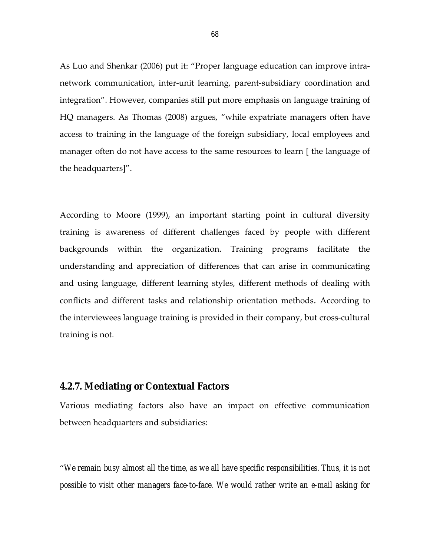As Luo and Shenkar (2006) put it: "Proper language education can improve intranetwork communication, inter-unit learning, parent-subsidiary coordination and integration". However, companies still put more emphasis on language training of HQ managers. As Thomas (2008) argues, "while expatriate managers often have access to training in the language of the foreign subsidiary, local employees and manager often do not have access to the same resources to learn [ the language of the headquarters]".

According to Moore (1999), an important starting point in cultural diversity training is awareness of different challenges faced by people with different backgrounds within the organization. Training programs facilitate the understanding and appreciation of differences that can arise in communicating and using language, different learning styles, different methods of dealing with conflicts and different tasks and relationship orientation methods. According to the interviewees language training is provided in their company, but cross-cultural training is not.

#### **4.2.7. Mediating or Contextual Factors**

Various mediating factors also have an impact on effective communication between headquarters and subsidiaries:

"*We remain busy almost all the time, as we all have specific responsibilities. Thus, it is not possible to visit other managers face-to-face. We would rather write an e-mail asking for*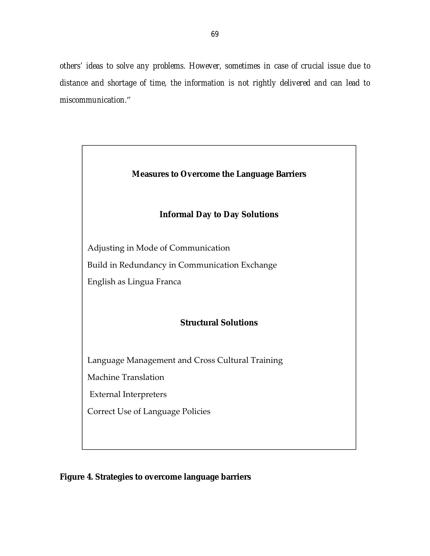*others' ideas to solve any problems. However, sometimes in case of crucial issue due to distance and shortage of time, the information is not rightly delivered and can lead to miscommunication*."



**Figure 4. Strategies to overcome language barriers**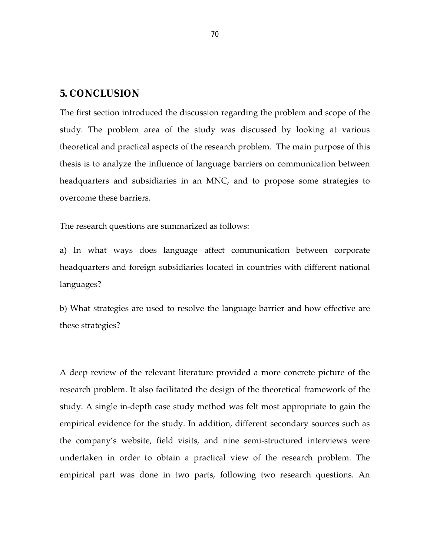#### **5. CONCLUSION**

The first section introduced the discussion regarding the problem and scope of the study. The problem area of the study was discussed by looking at various theoretical and practical aspects of the research problem. The main purpose of this thesis is to analyze the influence of language barriers on communication between headquarters and subsidiaries in an MNC, and to propose some strategies to overcome these barriers.

The research questions are summarized as follows:

a) In what ways does language affect communication between corporate headquarters and foreign subsidiaries located in countries with different national languages?

b) What strategies are used to resolve the language barrier and how effective are these strategies?

A deep review of the relevant literature provided a more concrete picture of the research problem. It also facilitated the design of the theoretical framework of the study. A single in-depth case study method was felt most appropriate to gain the empirical evidence for the study. In addition, different secondary sources such as the company's website, field visits, and nine semi-structured interviews were undertaken in order to obtain a practical view of the research problem. The empirical part was done in two parts, following two research questions. An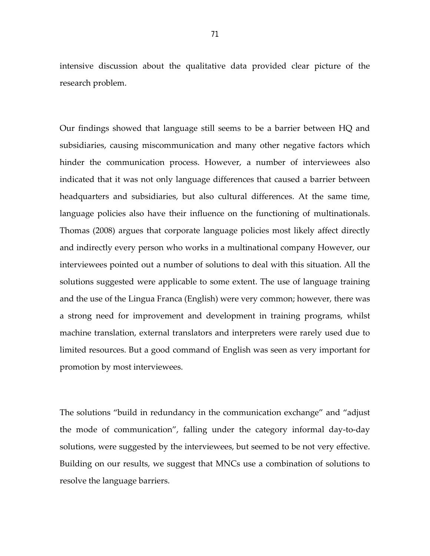intensive discussion about the qualitative data provided clear picture of the research problem.

Our findings showed that language still seems to be a barrier between HQ and subsidiaries, causing miscommunication and many other negative factors which hinder the communication process. However, a number of interviewees also indicated that it was not only language differences that caused a barrier between headquarters and subsidiaries, but also cultural differences. At the same time, language policies also have their influence on the functioning of multinationals. Thomas (2008) argues that corporate language policies most likely affect directly and indirectly every person who works in a multinational company However, our interviewees pointed out a number of solutions to deal with this situation. All the solutions suggested were applicable to some extent. The use of language training and the use of the Lingua Franca (English) were very common; however, there was a strong need for improvement and development in training programs, whilst machine translation, external translators and interpreters were rarely used due to limited resources. But a good command of English was seen as very important for promotion by most interviewees.

The solutions "build in redundancy in the communication exchange" and "adjust the mode of communication", falling under the category informal day-to-day solutions, were suggested by the interviewees, but seemed to be not very effective. Building on our results, we suggest that MNCs use a combination of solutions to resolve the language barriers.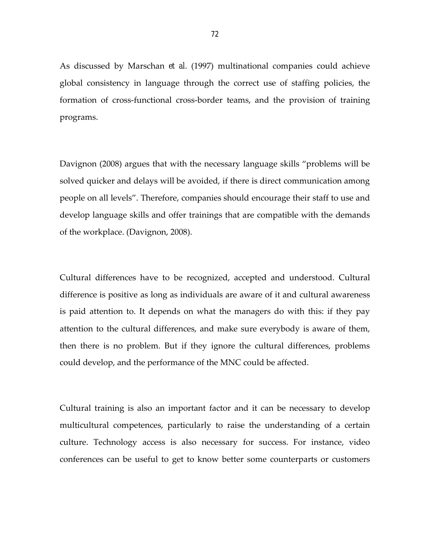As discussed by Marschan *et al.* (1997) multinational companies could achieve global consistency in language through the correct use of staffing policies, the formation of cross-functional cross-border teams, and the provision of training programs.

Davignon (2008) argues that with the necessary language skills "problems will be solved quicker and delays will be avoided, if there is direct communication among people on all levels". Therefore, companies should encourage their staff to use and develop language skills and offer trainings that are compatible with the demands of the workplace. (Davignon, 2008).

Cultural differences have to be recognized, accepted and understood. Cultural difference is positive as long as individuals are aware of it and cultural awareness is paid attention to. It depends on what the managers do with this: if they pay attention to the cultural differences, and make sure everybody is aware of them, then there is no problem. But if they ignore the cultural differences, problems could develop, and the performance of the MNC could be affected.

Cultural training is also an important factor and it can be necessary to develop multicultural competences, particularly to raise the understanding of a certain culture. Technology access is also necessary for success. For instance, video conferences can be useful to get to know better some counterparts or customers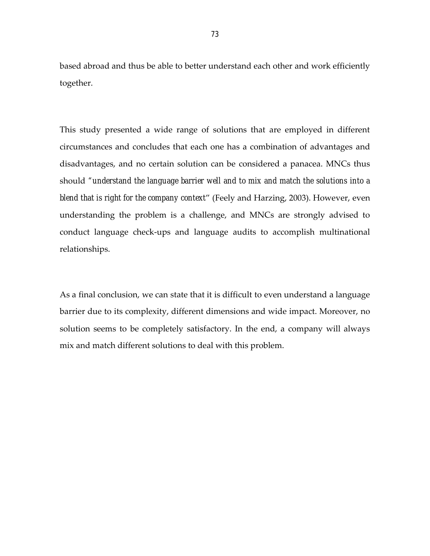based abroad and thus be able to better understand each other and work efficiently together.

This study presented a wide range of solutions that are employed in different circumstances and concludes that each one has a combination of advantages and disadvantages, and no certain solution can be considered a panacea. MNCs thus should *"understand the language barrier well and to mix and match the solutions into a blend that is right for the company context*" (Feely and Harzing, 2003). However, even understanding the problem is a challenge, and MNCs are strongly advised to conduct language check-ups and language audits to accomplish multinational relationships.

As a final conclusion, we can state that it is difficult to even understand a language barrier due to its complexity, different dimensions and wide impact. Moreover, no solution seems to be completely satisfactory. In the end, a company will always mix and match different solutions to deal with this problem.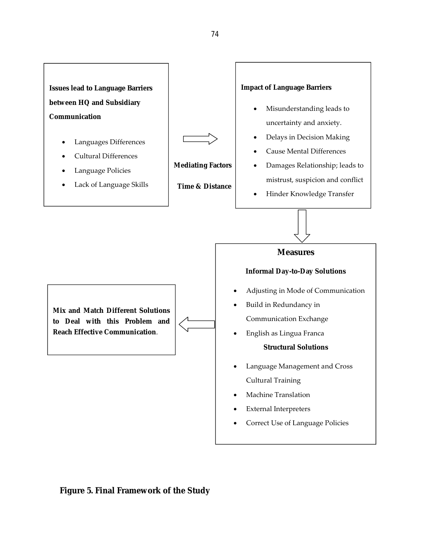

**Figure 5. Final Framework of the Study**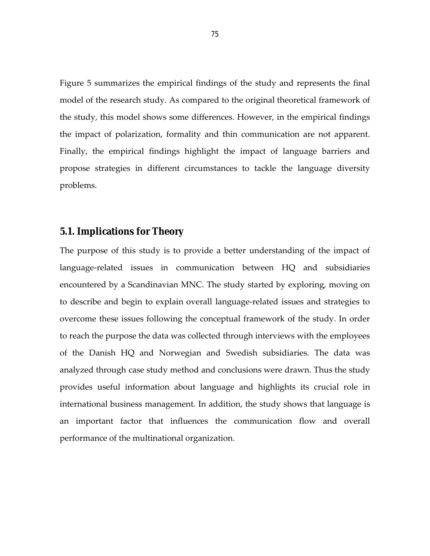Figure 5 summarizes the empirical findings of the study and represents the final model of the research study. As compared to the original theoretical framework of the study, this model shows some differences. However, in the empirical findings the impact of polarization, formality and thin communication are not apparent. Finally, the empirical findings highlight the impact of language barriers and propose strategies in different circumstances to tackle the language diversity problems.

## **5.1. Implications for Theory**

The purpose of this study is to provide a better understanding of the impact of language-related issues in communication between HQ and subsidiaries encountered by a Scandinavian MNC. The study started by exploring, moving on to describe and begin to explain overall language-related issues and strategies to overcome these issues following the conceptual framework of the study. In order to reach the purpose the data was collected through interviews with the employees of the Danish HQ and Norwegian and Swedish subsidiaries. The data was analyzed through case study method and conclusions were drawn. Thus the study provides useful information about language and highlights its crucial role in international business management. In addition, the study shows that language is an important factor that influences the communication flow and overall performance of the multinational organization.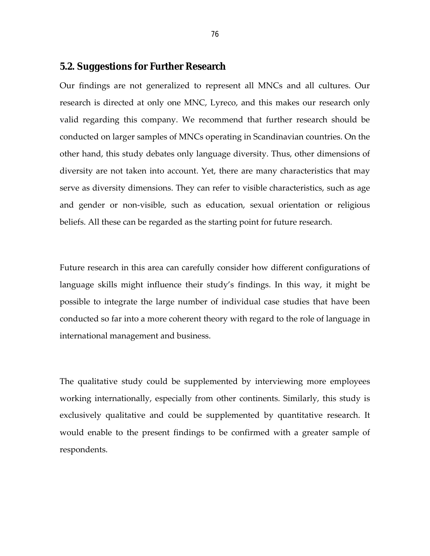## **5.2. Suggestions for Further Research**

Our findings are not generalized to represent all MNCs and all cultures. Our research is directed at only one MNC, Lyreco, and this makes our research only valid regarding this company. We recommend that further research should be conducted on larger samples of MNCs operating in Scandinavian countries. On the other hand, this study debates only language diversity. Thus, other dimensions of diversity are not taken into account. Yet, there are many characteristics that may serve as diversity dimensions. They can refer to visible characteristics, such as age and gender or non-visible, such as education, sexual orientation or religious beliefs. All these can be regarded as the starting point for future research.

Future research in this area can carefully consider how different configurations of language skills might influence their study's findings. In this way, it might be possible to integrate the large number of individual case studies that have been conducted so far into a more coherent theory with regard to the role of language in international management and business.

The qualitative study could be supplemented by interviewing more employees working internationally, especially from other continents. Similarly, this study is exclusively qualitative and could be supplemented by quantitative research. It would enable to the present findings to be confirmed with a greater sample of respondents.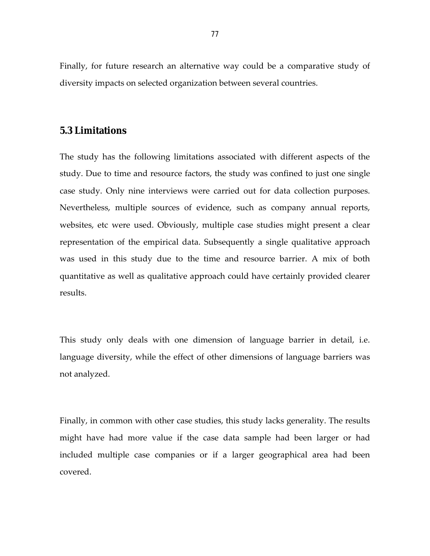Finally, for future research an alternative way could be a comparative study of diversity impacts on selected organization between several countries.

## **5.3 Limitations**

The study has the following limitations associated with different aspects of the study. Due to time and resource factors, the study was confined to just one single case study. Only nine interviews were carried out for data collection purposes. Nevertheless, multiple sources of evidence, such as company annual reports, websites, etc were used. Obviously, multiple case studies might present a clear representation of the empirical data. Subsequently a single qualitative approach was used in this study due to the time and resource barrier. A mix of both quantitative as well as qualitative approach could have certainly provided clearer results.

This study only deals with one dimension of language barrier in detail, i.e. language diversity, while the effect of other dimensions of language barriers was not analyzed.

Finally, in common with other case studies, this study lacks generality. The results might have had more value if the case data sample had been larger or had included multiple case companies or if a larger geographical area had been covered.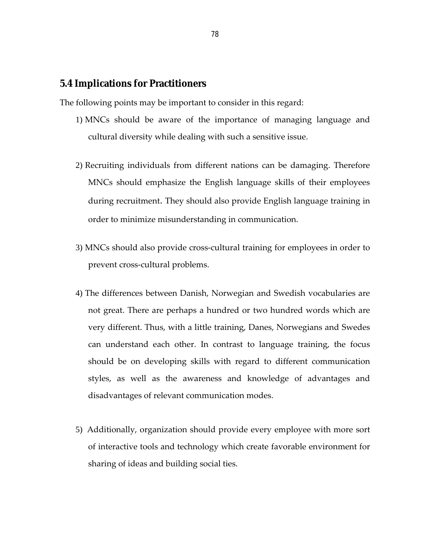## **5.4 Implications for Practitioners**

The following points may be important to consider in this regard:

- 1) MNCs should be aware of the importance of managing language and cultural diversity while dealing with such a sensitive issue.
- 2) Recruiting individuals from different nations can be damaging. Therefore MNCs should emphasize the English language skills of their employees during recruitment. They should also provide English language training in order to minimize misunderstanding in communication.
- 3) MNCs should also provide cross-cultural training for employees in order to prevent cross-cultural problems.
- 4) The differences between Danish, Norwegian and Swedish vocabularies are not great. There are perhaps a hundred or two hundred words which are very different. Thus, with a little training, Danes, Norwegians and Swedes can understand each other. In contrast to language training, the focus should be on developing skills with regard to different communication styles, as well as the awareness and knowledge of advantages and disadvantages of relevant communication modes.
- 5) Additionally, organization should provide every employee with more sort of interactive tools and technology which create favorable environment for sharing of ideas and building social ties.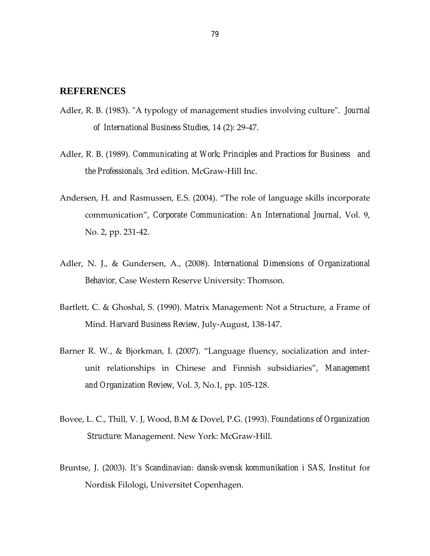#### **REFERENCES**

- Adler, R. B. (1983). "A typology of management studies involving culture". *Journal of International Business Studies*, 14 (2): 29-47.
- Adler, R. B. (1989). *Communicating at Work*; *Principles and Practices for Business and the Professionals,* 3rd edition. McGraw-Hill Inc.
- Andersen, H. and Rasmussen, E.S. (2004). "The role of language skills incorporate communication", *Corporate Communication: An International Journal*, Vol. 9, No. 2, pp. 231-42.
- Adler, N. J., & Gundersen, A., (2008). *International Dimensions of Organizational Behavior,* Case Western Reserve University: Thomson.
- Bartlett, C. & Ghoshal, S. (1990). Matrix Management: Not a Structure, a Frame of Mind. *Harvard Business Review*, July-August, 138-147.
- Barner R. W., & Bjorkman, I. (2007). "Language fluency, socialization and interunit relationships in Chinese and Finnish subsidiaries", *Management and Organization Review*, Vol. 3, No.1, pp. 105-128.
- Bovee, L. C., Thill, V. J, Wood, B.M & Dovel, P.G. (1993*). Foundations of Organization Structure*: Management. New York: McGraw-Hill.
- Bruntse, J. (2003). *It's Scandinavian: dansk-svensk kommunikation i SAS*, Institut for Nordisk Filologi, Universitet Copenhagen.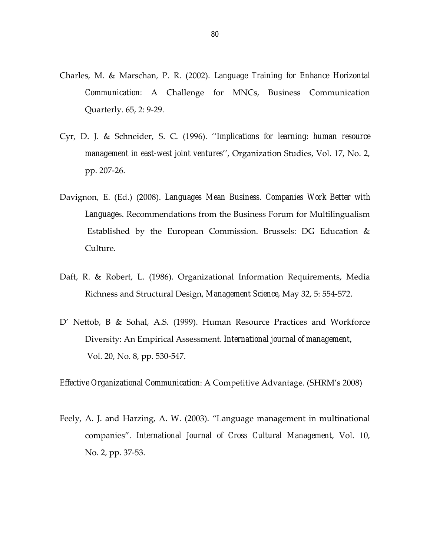- Charles, M. & Marschan, P. R. (2002). *Language Training for Enhance Horizontal Communication*: A Challenge for MNCs, Business Communication Quarterly. 65, 2: 9-29.
- Cyr, D. J. & Schneider, S. C. (1996). ''*Implications for learning: human resource management in east-west joint ventures*'', Organization Studies, Vol. 17, No. 2, pp. 207-26.
- Davignon, E. (Ed.) (2008). *Languages Mean Business. Companies Work Better with Language*s. Recommendations from the Business Forum for Multilingualism Established by the European Commission. Brussels: DG Education & Culture.
- Daft, R. & Robert, L. (1986). Organizational Information Requirements, Media Richness and Structural Design*, Management Science*, May 32, 5: 554-572.
- D' Nettob, B & Sohal, A.S. (1999). Human Resource Practices and Workforce Diversity: An Empirical Assessment. *International journal of management*, Vol. 20, No. 8, pp. 530-547.

*Effective Organizational Communication*: A Competitive Advantage. (SHRM's 2008)

Feely, A. J. and Harzing, A. W. (2003). "Language management in multinational companies". *International Journal of Cross Cultural Management*, Vol. 10, No. 2, pp. 37-53.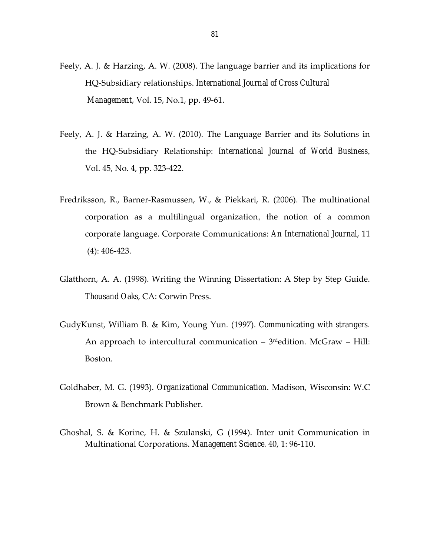- Feely, A. J. & Harzing, A. W. (2008). The language barrier and its implications for HQ-Subsidiary relationships. *International Journal of Cross Cultural Management*, Vol. 15, No.1, pp. 49-61.
- Feely, A. J. & Harzing, A. W. (2010). The Language Barrier and its Solutions in the HQ-Subsidiary Relationship*: International Journal of World Business*, Vol. 45, No. 4, pp. 323-422.
- Fredriksson, R., Barner-Rasmussen, W., & Piekkari, R. (2006). The multinational corporation as a multilingual organization, the notion of a common corporate language. Corporate Communications: *An International Journal*, 11 (4): 406-423.
- Glatthorn, A. A. (1998). Writing the Winning Dissertation: A Step by Step Guide. *Thousand Oaks*, CA: Corwin Press.
- GudyKunst, William B. & Kim, Young Yun. (1997). *Communicating with strangers*. An approach to intercultural communication  $-3$ <sup>rd</sup>edition. McGraw  $-$  Hill: Boston.
- Goldhaber, M. G. (1993). *Organizational Communication*. Madison, Wisconsin: W.C Brown & Benchmark Publisher.
- Ghoshal, S. & Korine, H. & Szulanski, G (1994). Inter unit Communication in Multinational Corporations. *Management Science*. 40, 1: 96-110.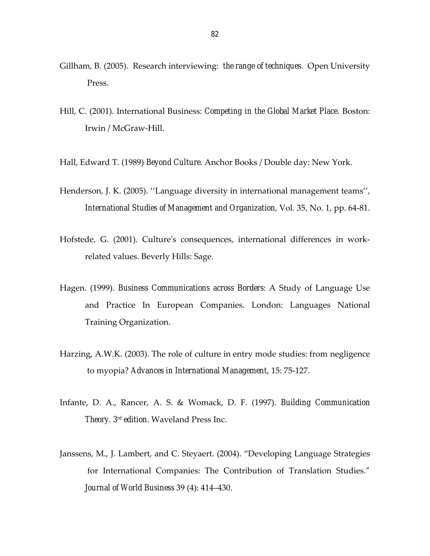- Gillham, B. (2005). Research interviewing: *the range of techniques*. Open University Press.
- Hill, C. (2001). International Business: *Competing in the Global Market Place*. Boston: Irwin / McGraw-Hill.
- Hall, Edward T. (1989) *Beyond Culture*. Anchor Books / Double day: New York.
- Henderson, J. K. (2005). ''Language diversity in international management teams'', *International Studies of Management and Organization*, Vol. 35, No. 1, pp. 64-81.
- Hofstede, G. (2001). Culture's consequences, international differences in workrelated values. Beverly Hills: Sage.
- Hagen. (1999). *Business Communications across Borders*: A Study of Language Use and Practice In European Companies. London: Languages National Training Organization.
- Harzing, A.W.K. (2003). The role of culture in entry mode studies: from negligence to myopia? *Advances in International Management*, 15: 75-127.
- Infante, D. A., Rancer, A. S. & Womack, D. F. (1997). *Building Communication Theory. 3rd edition*. Waveland Press Inc.
- Janssens, M., J. Lambert, and C. Steyaert. (2004). "Developing Language Strategies for International Companies: The Contribution of Translation Studies*." Journal of World Business* 39 (4): 414–430.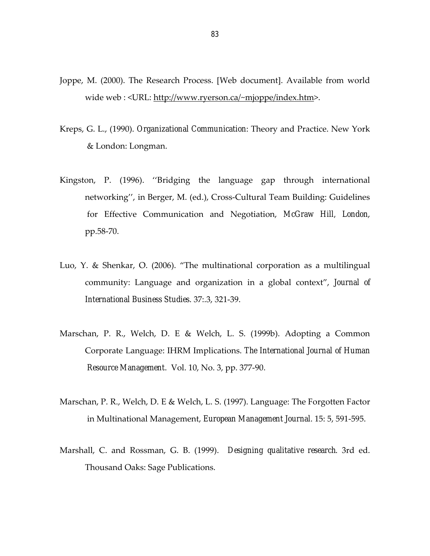- Joppe, M. (2000). The Research Process. [Web document]. Available from world wide web : <URL: http://www.ryerson.ca/~mjoppe/index.htm>.
- Kreps, G. L., (1990). *Organizational Communication*: Theory and Practice. New York & London: Longman.
- Kingston, P. (1996). ''Bridging the language gap through international networking'', in Berger, M. (ed.), Cross-Cultural Team Building: Guidelines for Effective Communication and Negotiation, *McGraw Hill, London*, pp.58-70.
- Luo, Y. & Shenkar, O. (2006). "The multinational corporation as a multilingual community: Language and organization in a global context", *Journal of International Business Studies*. 37:.3, 321-39.
- Marschan, P. R., Welch, D. E & Welch, L. S. (1999b). Adopting a Common Corporate Language: IHRM Implications. *The International Journal of Human Resource Management*. Vol. 10, No. 3, pp. 377-90.
- Marschan, P. R., Welch, D. E & Welch, L. S. (1997). Language: The Forgotten Factor in Multinational Management, *European Management Journal*. 15: 5, 591-595.
- Marshall, C. and Rossman, G. B. (1999). *Designing qualitative research*. 3rd ed. Thousand Oaks: Sage Publications.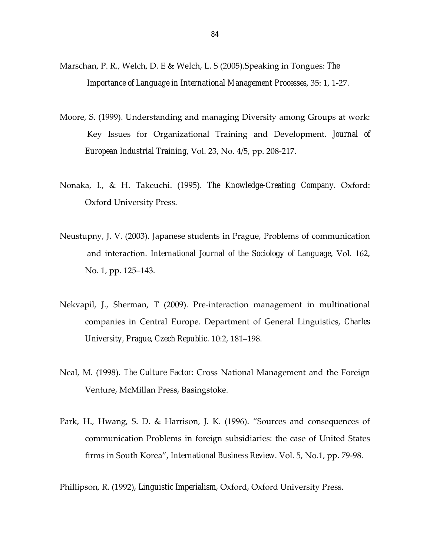- Marschan, P. R., Welch, D. E & Welch, L. S (2005).Speaking in Tongues: *The Importance of Language in International Management Processes*, 35: 1, 1-27.
- Moore, S. (1999). Understanding and managing Diversity among Groups at work: Key Issues for Organizational Training and Development. *Journal of European Industrial Training*, Vol. 23, No. 4/5, pp. 208-217.
- Nonaka, I., & H. Takeuchi. (1995). *The Knowledge-Creating Company*. Oxford: Oxford University Press.
- Neustupny, J. V. (2003). Japanese students in Prague, Problems of communication and interaction. *International Journal of the Sociology of Language*, Vol. 162, No. 1, pp. 125–143.
- Nekvapil, J., Sherman, T (2009). Pre-interaction management in multinational companies in Central Europe. Department of General Linguistics, *Charles University, Prague, Czech Republic*. 10:2, 181–198.
- Neal, M. (1998). *The Culture Factor*: Cross National Management and the Foreign Venture, McMillan Press, Basingstoke.
- Park, H., Hwang, S. D. & Harrison, J. K. (1996). "Sources and consequences of communication Problems in foreign subsidiaries: the case of United States firms in South Korea", *International Business Review*, Vol. 5, No.1, pp. 79-98.

Phillipson, R. (1992), *Linguistic Imperialism*, Oxford, Oxford University Press.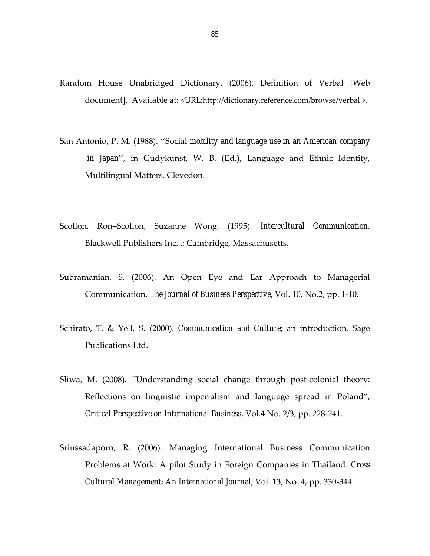- Random House Unabridged Dictionary. (2006). Definition of Verbal [Web document]. Available at: <URL:http://dictionary.reference.com/browse/verbal >.
- San Antonio, P. M. (1988). ''Social *mobility and language use in an American company in Japan*'', in Gudykunst, W. B. (Ed.), Language and Ethnic Identity, Multilingual Matters, Clevedon.
- Scollon, Ron–Scollon, Suzanne Wong. (1995). *Intercultural Communication.* Blackwell Publishers Inc. .: Cambridge, Massachusetts.
- Subramanian, S. (2006). An Open Eye and Ear Approach to Managerial Communication. *The Journal of Business Perspective,* Vol. 10, No.2, pp. 1-10.
- Schirato, T. & Yell, S. (2000). *Communication and Culture*; an introduction. Sage Publications Ltd.
- Sliwa, M. (2008). "Understanding social change through post-colonial theory: Reflections on linguistic imperialism and language spread in Poland", *Critical Perspective on International Business*, Vol.4 No. 2/3, pp. 228-241.
- Sriussadaporn, R. (2006). Managing International Business Communication Problems at Work: A pilot Study in Foreign Companies in Thailand. *Cross Cultural Management: An International Journal,* Vol. 13, No. 4, pp. 330-344.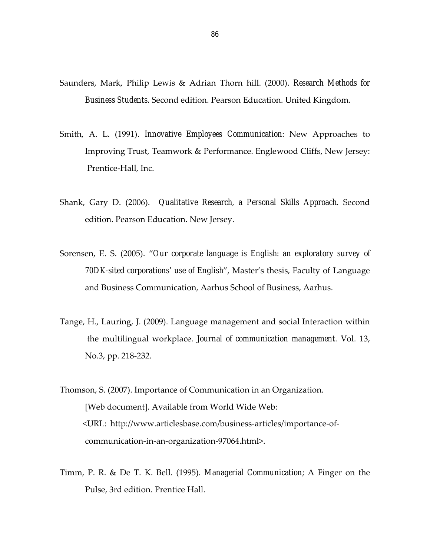- Saunders, Mark, Philip Lewis & Adrian Thorn hill. (2000). *Research Methods for Business Students*. Second edition. Pearson Education. United Kingdom.
- Smith, A. L. (1991). *Innovative Employees Communication*: New Approaches to Improving Trust, Teamwork & Performance. Englewood Cliffs, New Jersey: Prentice-Hall, Inc.
- Shank, Gary D. (2006). *Qualitative Research, a Personal Skills Approach*. Second edition. Pearson Education. New Jersey.
- Sorensen, E. S. (2005). "*Our corporate language is English: an exploratory survey of 70DK-sited corporations' use of English*", Master's thesis, Faculty of Language and Business Communication, Aarhus School of Business, Aarhus.
- Tange, H., Lauring, J. (2009). Language management and social Interaction within the multilingual workplace. *Journal of communication management*. Vol. 13, No.3, pp. 218-232.
- Thomson, S. (2007). Importance of Communication in an Organization. [Web document]. Available from World Wide Web: <URL: http://www.articlesbase.com/business-articles/importance-ofcommunication-in-an-organization-97064.html>.
- Timm, P. R. & De T. K. Bell. (1995). *Managerial Communication*; A Finger on the Pulse, 3rd edition. Prentice Hall.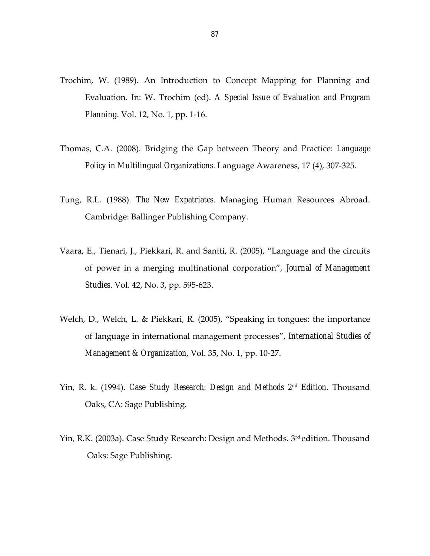- Trochim, W. (1989). An Introduction to Concept Mapping for Planning and Evaluation. In: W. Trochim (ed). *A Special Issue of Evaluation and Program Planning*. Vol. 12, No. 1, pp. 1-16.
- Thomas, C.A. (2008). Bridging the Gap between Theory and Practice: *Language Policy in Multilingual Organizations*. Language Awareness, 17 (4), 307-325.
- Tung, R.L. (1988). *The New Expatriates*. Managing Human Resources Abroad. Cambridge: Ballinger Publishing Company.
- Vaara, E., Tienari, J., Piekkari, R. and Santti, R. (2005), "Language and the circuits of power in a merging multinational corporation", *Journal of Management Studies*. Vol. 42, No. 3, pp. 595-623.
- Welch, D., Welch, L. & Piekkari, R. (2005), "Speaking in tongues: the importance of language in international management processes", *International Studies of Management & Organization*, Vol. 35, No. 1, pp. 10-27.
- Yin, R. k. (1994). *Case Study Research: Design and Methods 2nd Edition*. Thousand Oaks, CA: Sage Publishing.
- Yin, R.K. (2003a). Case Study Research: Design and Methods. 3<sup>rd</sup> edition. Thousand Oaks: Sage Publishing.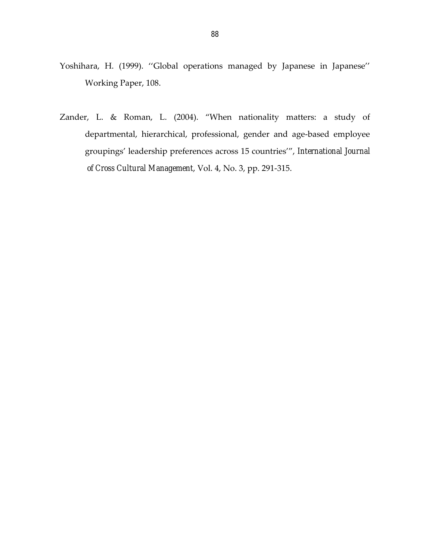- Yoshihara, H. (1999). ''Global operations managed by Japanese in Japanese'' Working Paper, 108.
- Zander, L. & Roman, L. (2004). "When nationality matters: a study of departmental, hierarchical, professional, gender and age-based employee groupings' leadership preferences across 15 countries'", *International Journal of Cross Cultural Management*, Vol. 4, No. 3, pp. 291-315.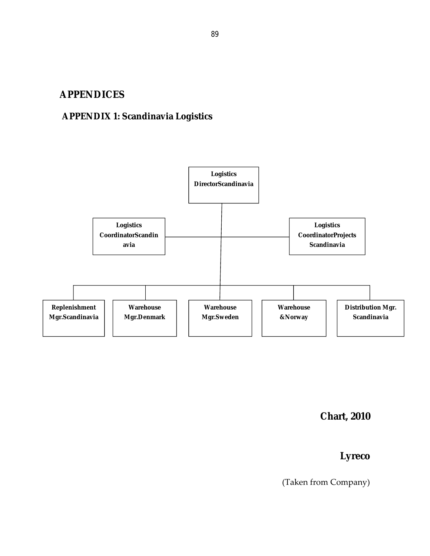# **APPENDICES**

# **APPENDIX 1: Scandinavia Logistics**



**Chart, 2010**

**Lyreco**

(Taken from Company)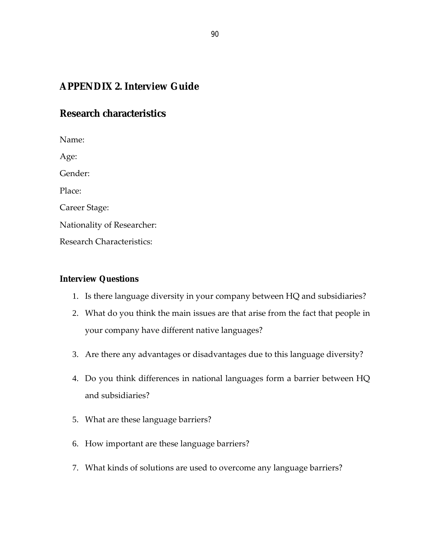# **APPENDIX 2. Interview Guide**

# **Research characteristics**

Name: Age: Gender: Place: Career Stage: Nationality of Researcher: Research Characteristics:

## **Interview Questions**

- 1. Is there language diversity in your company between HQ and subsidiaries?
- 2. What do you think the main issues are that arise from the fact that people in your company have different native languages?
- 3. Are there any advantages or disadvantages due to this language diversity?
- 4. Do you think differences in national languages form a barrier between HQ and subsidiaries?
- 5. What are these language barriers?
- 6. How important are these language barriers?
- 7. What kinds of solutions are used to overcome any language barriers?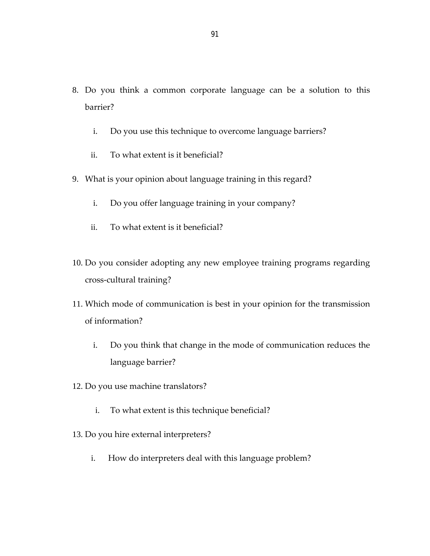- 8. Do you think a common corporate language can be a solution to this barrier?
	- i. Do you use this technique to overcome language barriers?
	- ii. To what extent is it beneficial?
- 9. What is your opinion about language training in this regard?
	- i. Do you offer language training in your company?
	- ii. To what extent is it beneficial?
- 10. Do you consider adopting any new employee training programs regarding cross-cultural training?
- 11. Which mode of communication is best in your opinion for the transmission of information?
	- i. Do you think that change in the mode of communication reduces the language barrier?
- 12. Do you use machine translators?
	- i. To what extent is this technique beneficial?
- 13. Do you hire external interpreters?
	- i. How do interpreters deal with this language problem?